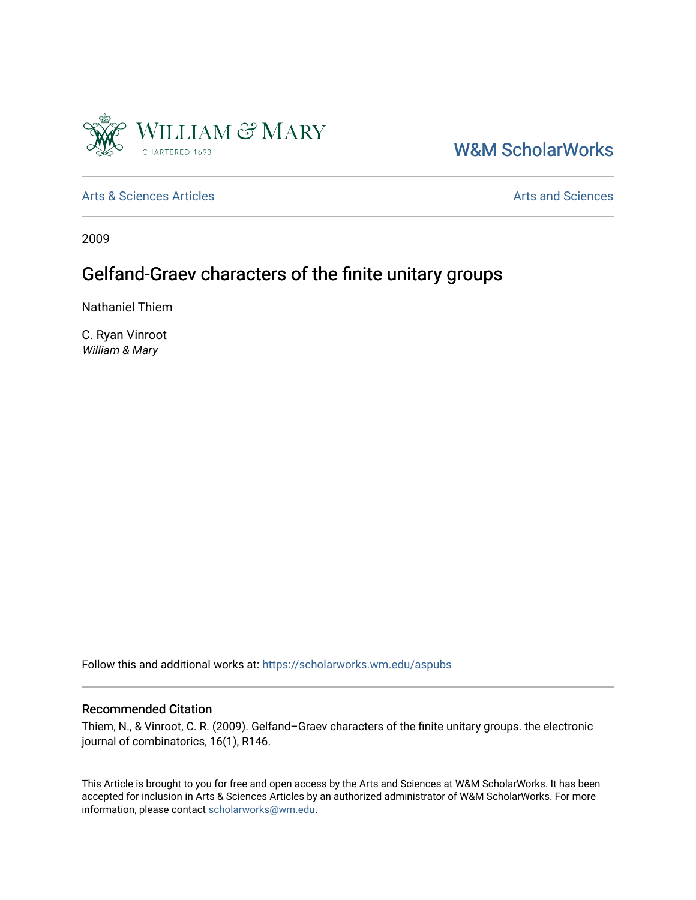

# [W&M ScholarWorks](https://scholarworks.wm.edu/)

[Arts & Sciences Articles](https://scholarworks.wm.edu/aspubs) **Articles** [Arts and Sciences](https://scholarworks.wm.edu/as) Articles Arts and Sciences Arts and Sciences

2009

# Gelfand-Graev characters of the finite unitary groups

Nathaniel Thiem

C. Ryan Vinroot William & Mary

Follow this and additional works at: [https://scholarworks.wm.edu/aspubs](https://scholarworks.wm.edu/aspubs?utm_source=scholarworks.wm.edu%2Faspubs%2F1105&utm_medium=PDF&utm_campaign=PDFCoverPages) 

#### Recommended Citation

Thiem, N., & Vinroot, C. R. (2009). Gelfand–Graev characters of the finite unitary groups. the electronic journal of combinatorics, 16(1), R146.

This Article is brought to you for free and open access by the Arts and Sciences at W&M ScholarWorks. It has been accepted for inclusion in Arts & Sciences Articles by an authorized administrator of W&M ScholarWorks. For more information, please contact [scholarworks@wm.edu](mailto:scholarworks@wm.edu).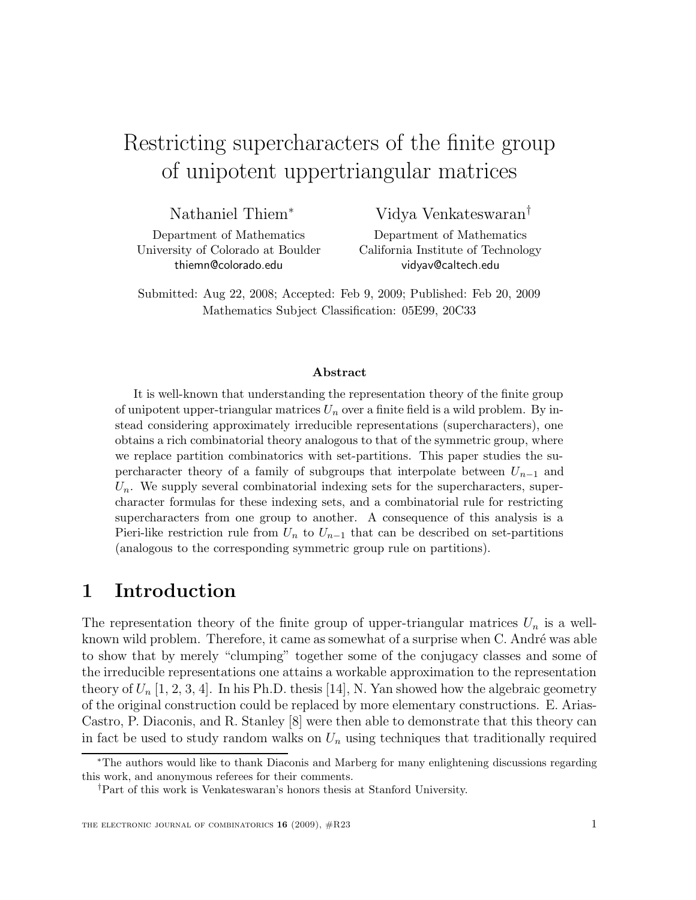# Restricting supercharacters of the finite group of unipotent uppertriangular matrices

Nathaniel Thiem<sup>∗</sup>

Vidya Venkateswaran†

Department of Mathematics University of Colorado at Boulder thiemn@colorado.edu

Department of Mathematics California Institute of Technology vidyav@caltech.edu

Submitted: Aug 22, 2008; Accepted: Feb 9, 2009; Published: Feb 20, 2009 Mathematics Subject Classification: 05E99, 20C33

#### Abstract

It is well-known that understanding the representation theory of the finite group of unipotent upper-triangular matrices  $U_n$  over a finite field is a wild problem. By instead considering approximately irreducible representations (supercharacters), one obtains a rich combinatorial theory analogous to that of the symmetric group, where we replace partition combinatorics with set-partitions. This paper studies the supercharacter theory of a family of subgroups that interpolate between  $U_{n-1}$  and  $U_n$ . We supply several combinatorial indexing sets for the supercharacters, supercharacter formulas for these indexing sets, and a combinatorial rule for restricting supercharacters from one group to another. A consequence of this analysis is a Pieri-like restriction rule from  $U_n$  to  $U_{n-1}$  that can be described on set-partitions (analogous to the corresponding symmetric group rule on partitions).

### 1 Introduction

The representation theory of the finite group of upper-triangular matrices  $U_n$  is a wellknown wild problem. Therefore, it came as somewhat of a surprise when C. André was able to show that by merely "clumping" together some of the conjugacy classes and some of the irreducible representations one attains a workable approximation to the representation theory of  $U_n$  [1, 2, 3, 4]. In his Ph.D. thesis [14], N. Yan showed how the algebraic geometry of the original construction could be replaced by more elementary constructions. E. Arias-Castro, P. Diaconis, and R. Stanley [8] were then able to demonstrate that this theory can in fact be used to study random walks on  $U_n$  using techniques that traditionally required

<sup>∗</sup>The authors would like to thank Diaconis and Marberg for many enlightening discussions regarding this work, and anonymous referees for their comments.

<sup>†</sup>Part of this work is Venkateswaran's honors thesis at Stanford University.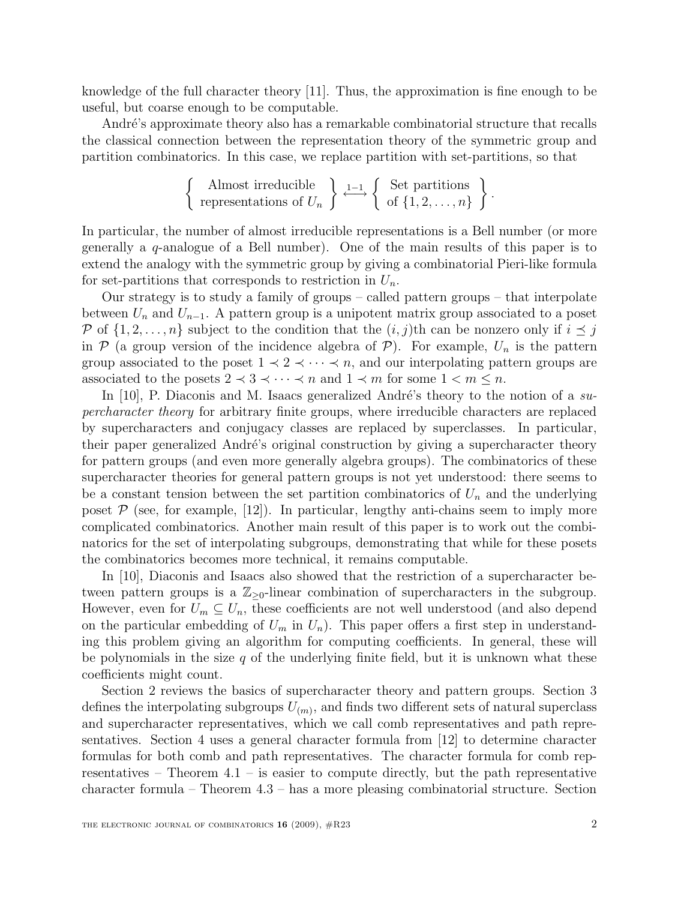knowledge of the full character theory [11]. Thus, the approximation is fine enough to be useful, but coarse enough to be computable.

André's approximate theory also has a remarkable combinatorial structure that recalls the classical connection between the representation theory of the symmetric group and partition combinatorics. In this case, we replace partition with set-partitions, so that

$$
\left\{\n\begin{array}{c}\n\text{Almost irreducible} \\
\text{representations of } U_n\n\end{array}\n\right\} \xrightarrow{1-1} \left\{\n\begin{array}{c}\n\text{Set partitions} \\
\text{of } \{1, 2, \ldots, n\}\n\end{array}\n\right\}.
$$

In particular, the number of almost irreducible representations is a Bell number (or more generally a  $q$ -analogue of a Bell number). One of the main results of this paper is to extend the analogy with the symmetric group by giving a combinatorial Pieri-like formula for set-partitions that corresponds to restriction in  $U_n$ .

Our strategy is to study a family of groups – called pattern groups – that interpolate between  $U_n$  and  $U_{n-1}$ . A pattern group is a unipotent matrix group associated to a poset P of  $\{1, 2, \ldots, n\}$  subject to the condition that the  $(i, j)$ th can be nonzero only if  $i \leq j$ in  $P$  (a group version of the incidence algebra of  $P$ ). For example,  $U_n$  is the pattern group associated to the poset  $1 \prec 2 \prec \cdots \prec n$ , and our interpolating pattern groups are associated to the posets  $2 \prec 3 \prec \cdots \prec n$  and  $1 \prec m$  for some  $1 \prec m \leq n$ .

In [10], P. Diaconis and M. Isaacs generalized André's theory to the notion of a supercharacter theory for arbitrary finite groups, where irreducible characters are replaced by supercharacters and conjugacy classes are replaced by superclasses. In particular, their paper generalized André's original construction by giving a supercharacter theory for pattern groups (and even more generally algebra groups). The combinatorics of these supercharacter theories for general pattern groups is not yet understood: there seems to be a constant tension between the set partition combinatorics of  $U_n$  and the underlying poset  $P$  (see, for example, [12]). In particular, lengthy anti-chains seem to imply more complicated combinatorics. Another main result of this paper is to work out the combinatorics for the set of interpolating subgroups, demonstrating that while for these posets the combinatorics becomes more technical, it remains computable.

In [10], Diaconis and Isaacs also showed that the restriction of a supercharacter between pattern groups is a  $\mathbb{Z}_{\geq 0}$ -linear combination of supercharacters in the subgroup. However, even for  $U_m \subseteq U_n$ , these coefficients are not well understood (and also depend on the particular embedding of  $U_m$  in  $U_n$ ). This paper offers a first step in understanding this problem giving an algorithm for computing coefficients. In general, these will be polynomials in the size  $q$  of the underlying finite field, but it is unknown what these coefficients might count.

Section 2 reviews the basics of supercharacter theory and pattern groups. Section 3 defines the interpolating subgroups  $U_{(m)}$ , and finds two different sets of natural superclass and supercharacter representatives, which we call comb representatives and path representatives. Section 4 uses a general character formula from [12] to determine character formulas for both comb and path representatives. The character formula for comb representatives – Theorem  $4.1$  – is easier to compute directly, but the path representative character formula – Theorem 4.3 – has a more pleasing combinatorial structure. Section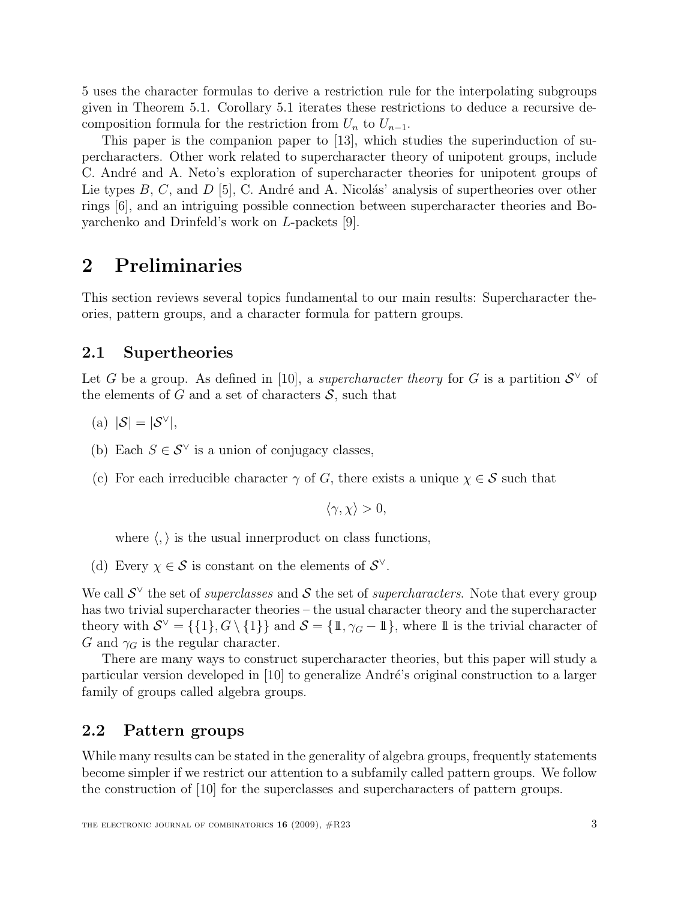5 uses the character formulas to derive a restriction rule for the interpolating subgroups given in Theorem 5.1. Corollary 5.1 iterates these restrictions to deduce a recursive decomposition formula for the restriction from  $U_n$  to  $U_{n-1}$ .

This paper is the companion paper to [13], which studies the superinduction of supercharacters. Other work related to supercharacter theory of unipotent groups, include C. André and A. Neto's exploration of supercharacter theories for unipotent groups of Lie types  $B, C$ , and  $D$  [5], C. André and A. Nicolás' analysis of supertheories over other rings [6], and an intriguing possible connection between supercharacter theories and Boyarchenko and Drinfeld's work on L-packets [9].

# 2 Preliminaries

This section reviews several topics fundamental to our main results: Supercharacter theories, pattern groups, and a character formula for pattern groups.

### 2.1 Supertheories

Let G be a group. As defined in [10], a *supercharacter theory* for G is a partition  $S^{\vee}$  of the elements of G and a set of characters  $S$ , such that

- (a)  $|\mathcal{S}| = |\mathcal{S}^{\vee}|,$
- (b) Each  $S \in \mathcal{S}^{\vee}$  is a union of conjugacy classes,
- (c) For each irreducible character  $\gamma$  of G, there exists a unique  $\chi \in \mathcal{S}$  such that

$$
\langle \gamma, \chi \rangle > 0,
$$

where  $\langle , \rangle$  is the usual innerproduct on class functions,

(d) Every  $\chi \in \mathcal{S}$  is constant on the elements of  $\mathcal{S}^{\vee}$ .

We call  $\mathcal{S}^{\vee}$  the set of *superclasses* and  $\mathcal{S}$  the set of *supercharacters*. Note that every group has two trivial supercharacter theories – the usual character theory and the supercharacter theory with  $S^{\vee} = \{\{1\}, G \setminus \{1\}\}\$ and  $S = \{\mathbb{1}, \gamma_G - \mathbb{1}\}\$ , where  $\mathbb{1}$  is the trivial character of G and  $\gamma_G$  is the regular character.

There are many ways to construct supercharacter theories, but this paper will study a particular version developed in [10] to generalize André's original construction to a larger family of groups called algebra groups.

### 2.2 Pattern groups

While many results can be stated in the generality of algebra groups, frequently statements become simpler if we restrict our attention to a subfamily called pattern groups. We follow the construction of [10] for the superclasses and supercharacters of pattern groups.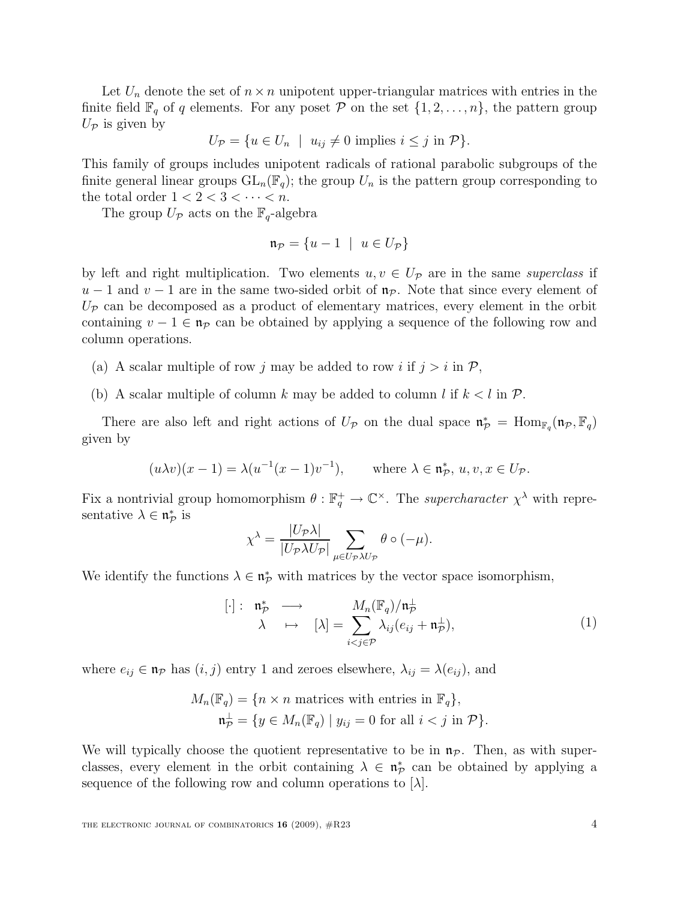Let  $U_n$  denote the set of  $n \times n$  unipotent upper-triangular matrices with entries in the finite field  $\mathbb{F}_q$  of q elements. For any poset  $\mathcal P$  on the set  $\{1, 2, \ldots, n\}$ , the pattern group  $U_{\mathcal{P}}$  is given by

$$
U_{\mathcal{P}} = \{ u \in U_n \mid u_{ij} \neq 0 \text{ implies } i \leq j \text{ in } \mathcal{P} \}.
$$

This family of groups includes unipotent radicals of rational parabolic subgroups of the finite general linear groups  $GL_n(\mathbb{F}_q)$ ; the group  $U_n$  is the pattern group corresponding to the total order  $1 < 2 < 3 < \cdots < n$ .

The group  $U_{\mathcal{P}}$  acts on the  $\mathbb{F}_q$ -algebra

$$
\mathfrak{n}_{\mathcal{P}} = \{u - 1 \mid u \in U_{\mathcal{P}}\}
$$

by left and right multiplication. Two elements  $u, v \in U_{\mathcal{P}}$  are in the same superclass if  $u-1$  and  $v-1$  are in the same two-sided orbit of  $\mathfrak{n}_{\mathcal{P}}$ . Note that since every element of  $U_{\mathcal{P}}$  can be decomposed as a product of elementary matrices, every element in the orbit containing  $v - 1 \in \mathfrak{n}_p$  can be obtained by applying a sequence of the following row and column operations.

- (a) A scalar multiple of row j may be added to row i if  $j > i$  in  $P$ ,
- (b) A scalar multiple of column k may be added to column l if  $k < l$  in P.

There are also left and right actions of  $U_{\mathcal{P}}$  on the dual space  $\mathfrak{n}_{\mathcal{P}}^* = \text{Hom}_{\mathbb{F}_q}(\mathfrak{n}_{\mathcal{P}}, \mathbb{F}_q)$ given by

$$
(u\lambda v)(x-1) = \lambda(u^{-1}(x-1)v^{-1}), \quad \text{where } \lambda \in \mathfrak{n}_\mathcal{P}^*, u, v, x \in U_\mathcal{P}.
$$

Fix a nontrivial group homomorphism  $\theta : \mathbb{F}_q^+ \to \mathbb{C}^\times$ . The *supercharacter*  $\chi^{\lambda}$  with representative  $\lambda \in \mathfrak{n}_{\mathcal{P}}^*$  is  $|TT|$   $\lambda$ |

$$
\chi^{\lambda} = \frac{|U_{\mathcal{P}}\lambda|}{|U_{\mathcal{P}}\lambda U_{\mathcal{P}}|} \sum_{\mu \in U_{\mathcal{P}}\lambda U_{\mathcal{P}}} \theta \circ (-\mu).
$$

We identify the functions  $\lambda \in \mathfrak{n}_{\mathcal{P}}^*$  with matrices by the vector space isomorphism,

$$
[\cdot]: \quad \mathfrak{n}_{\mathcal{P}}^* \quad \longrightarrow \quad \mathfrak{p}_{\lambda} = \sum_{i < j \in \mathcal{P}} \frac{M_n(\mathbb{F}_q)/\mathfrak{n}_{\mathcal{P}}^{\perp}}{\lambda_{ij}(e_{ij} + \mathfrak{n}_{\mathcal{P}}^{\perp})},\tag{1}
$$

where  $e_{ij} \in \mathfrak{n}_{\mathcal{P}}$  has  $(i, j)$  entry 1 and zeroes elsewhere,  $\lambda_{ij} = \lambda(e_{ij})$ , and

$$
M_n(\mathbb{F}_q) = \{ n \times n \text{ matrices with entries in } \mathbb{F}_q \},
$$
  

$$
\mathfrak{n}_P^{\perp} = \{ y \in M_n(\mathbb{F}_q) \mid y_{ij} = 0 \text{ for all } i < j \text{ in } \mathcal{P} \}.
$$

We will typically choose the quotient representative to be in  $\mathfrak{n}_p$ . Then, as with superclasses, every element in the orbit containing  $\lambda \in \mathfrak{n}_{\mathcal{P}}^*$  can be obtained by applying a sequence of the following row and column operations to  $[\lambda]$ .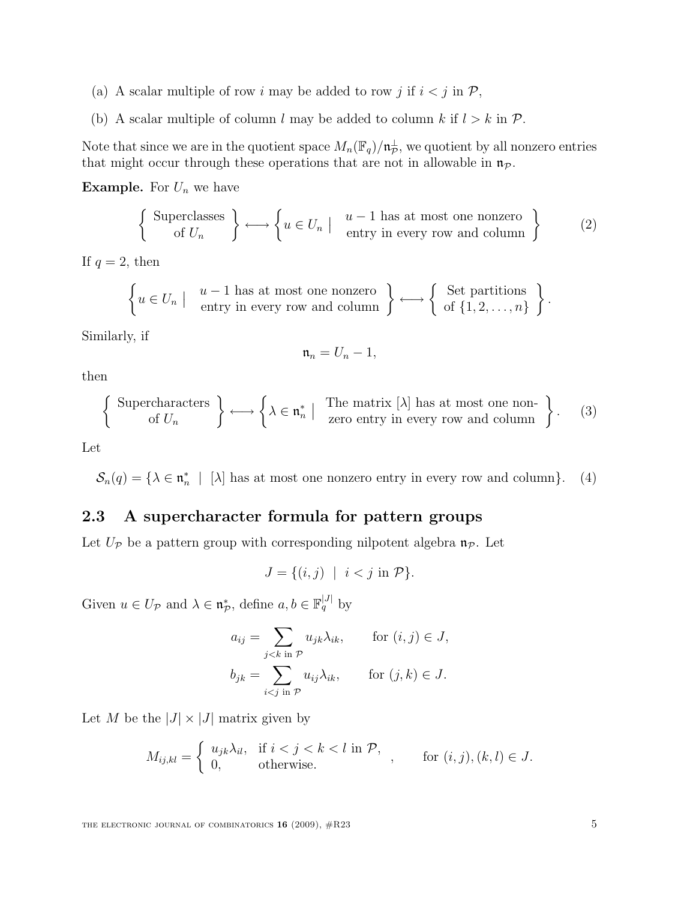- (a) A scalar multiple of row i may be added to row j if  $i < j$  in  $P$ ,
- (b) A scalar multiple of column l may be added to column k if  $l > k$  in  $P$ .

Note that since we are in the quotient space  $M_n(\mathbb{F}_q)/\mathfrak{n}_{\mathcal{P}}^{\perp}$ , we quotient by all nonzero entries that might occur through these operations that are not in allowable in  $\mathfrak{n}_P$ .

**Example.** For  $U_n$  we have

$$
\left\{\begin{array}{c}\text{Superclasses} \\ \text{of } U_n \end{array}\right\} \longleftrightarrow \left\{u \in U_n \mid \begin{array}{c}\n u-1 \text{ has at most one nonzero} \\ \text{entry in every row and column}\n\end{array}\right\} \tag{2}
$$

If  $q=2$ , then

$$
\left\{ u \in U_n \mid u-1 \text{ has at most one nonzero} \atop \text{entry in every row and column} \right\} \longleftrightarrow \left\{ \begin{array}{l} \text{Set partitions} \\ \text{of } \{1, 2, ..., n\} \end{array} \right\}.
$$

Similarly, if

$$
\mathfrak{n}_n=U_n-1,
$$

then

$$
\left\{\begin{array}{c}\text{Supercharacters} \\ \text{of } U_n \end{array}\right\} \longleftrightarrow \left\{\lambda \in \mathfrak{n}_n^* \mid \begin{array}{c}\text{The matrix } [\lambda] \text{ has at most one non-}\\ \text{zero entry in every row and column}\end{array}\right\}.\tag{3}
$$

Let

 $\mathcal{S}_n(q) = \{ \lambda \in \mathfrak{n}_n^* \mid [\lambda] \text{ has at most one nonzero entry in every row and column} \}.$  (4)

### 2.3 A supercharacter formula for pattern groups

Let  $U_{\mathcal{P}}$  be a pattern group with corresponding nilpotent algebra  $\mathfrak{n}_{\mathcal{P}}$ . Let

$$
J = \{(i, j) \mid i < j \text{ in } \mathcal{P}\}.
$$

Given  $u \in U_{\mathcal{P}}$  and  $\lambda \in \mathfrak{n}_{\mathcal{P}}^*$ , define  $a, b \in \mathbb{F}_q^{|J|}$  by

$$
a_{ij} = \sum_{j < k \text{ in } \mathcal{P}} u_{jk} \lambda_{ik}, \quad \text{for } (i, j) \in J,
$$
\n
$$
b_{jk} = \sum_{i < j \text{ in } \mathcal{P}} u_{ij} \lambda_{ik}, \quad \text{for } (j, k) \in J.
$$

Let M be the  $|J| \times |J|$  matrix given by

$$
M_{ij,kl} = \begin{cases} u_{jk}\lambda_{il}, & \text{if } i < j < k < l \text{ in } \mathcal{P}, \\ 0, & \text{otherwise.} \end{cases}, \quad \text{for } (i,j), (k,l) \in J.
$$

THE ELECTRONIC JOURNAL OF COMBINATORICS  $16$  (2009),  $\#R23$  5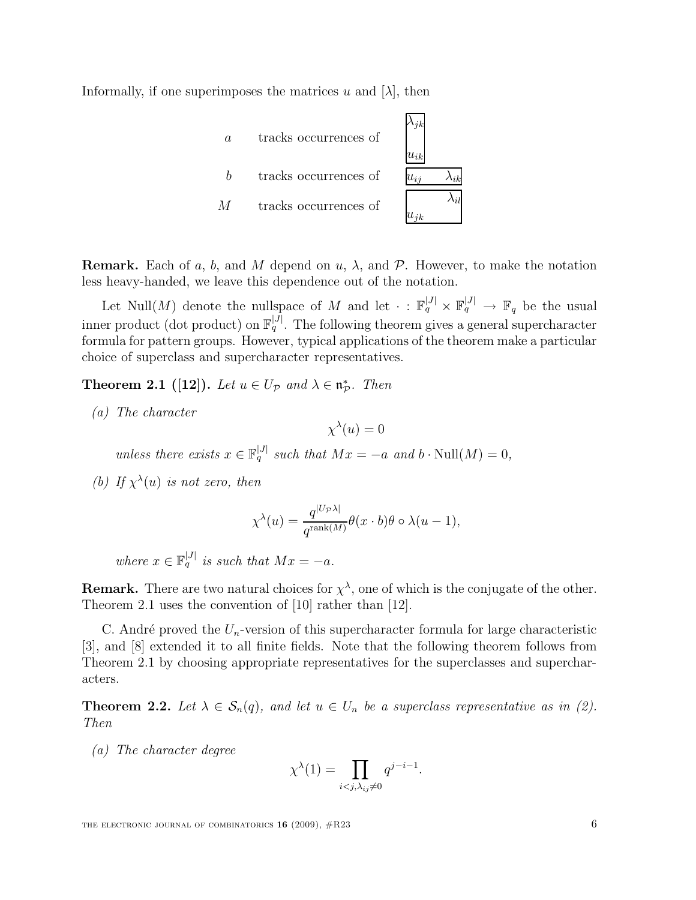Informally, if one superimposes the matrices u and  $[\lambda]$ , then



**Remark.** Each of a, b, and M depend on u,  $\lambda$ , and P. However, to make the notation less heavy-handed, we leave this dependence out of the notation.

Let Null $(M)$  denote the nullspace of M and let  $\cdot : \mathbb{F}_q^{|J|} \times \mathbb{F}_q^{|J|} \to \mathbb{F}_q$  be the usual inner product (dot product) on  $\mathbb{F}_q^{|J|}$ . The following theorem gives a general supercharacter formula for pattern groups. However, typical applications of the theorem make a particular choice of superclass and supercharacter representatives.

**Theorem 2.1** ([12]). Let  $u \in U_{\mathcal{P}}$  and  $\lambda \in \mathfrak{n}_{\mathcal{P}}^*$ . Then

(a) The character

 $\chi^{\lambda}(u)=0$ 

unless there exists  $x \in \mathbb{F}_q^{|J|}$  such that  $Mx = -a$  and  $b \cdot Null(M) = 0$ ,

(b) If  $\chi^{\lambda}(u)$  is not zero, then

$$
\chi^{\lambda}(u) = \frac{q^{|U_{\mathcal{P}}\lambda|}}{q^{\text{rank}(M)}} \theta(x \cdot b)\theta \circ \lambda(u-1),
$$

where  $x \in \mathbb{F}_q^{|J|}$  is such that  $Mx = -a$ .

**Remark.** There are two natural choices for  $\chi^{\lambda}$ , one of which is the conjugate of the other. Theorem 2.1 uses the convention of [10] rather than [12].

C. André proved the  $U_n$ -version of this supercharacter formula for large characteristic [3], and [8] extended it to all finite fields. Note that the following theorem follows from Theorem 2.1 by choosing appropriate representatives for the superclasses and supercharacters.

**Theorem 2.2.** Let  $\lambda \in S_n(q)$ , and let  $u \in U_n$  be a superclass representative as in (2). Then

(a) The character degree

$$
\chi^{\lambda}(1) = \prod_{i < j, \lambda_{ij} \neq 0} q^{j-i-1}.
$$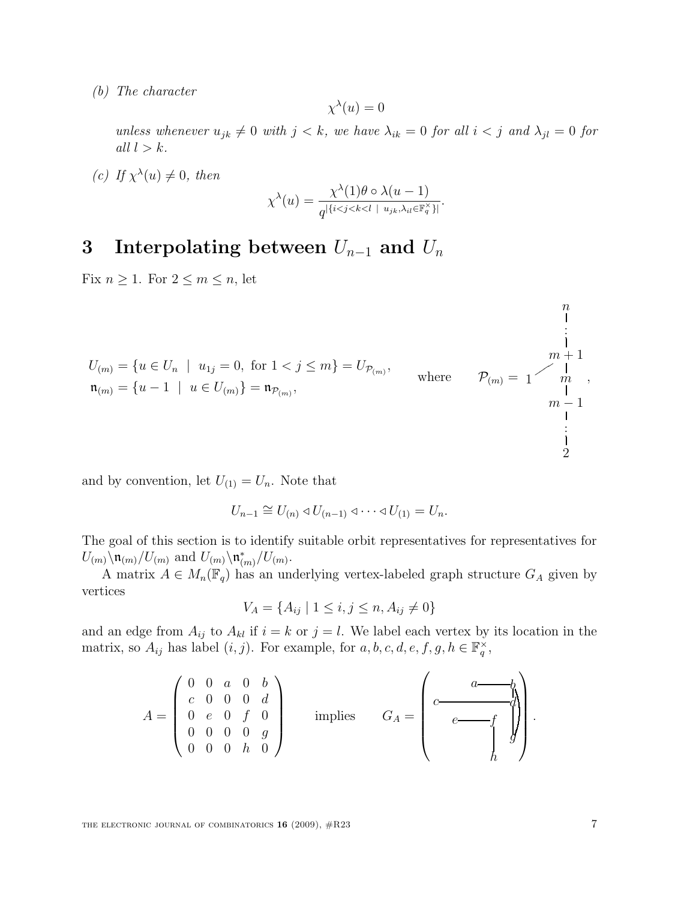(b) The character

$$
\chi^{\lambda}(u) = 0
$$

unless whenever  $u_{jk} \neq 0$  with  $j < k$ , we have  $\lambda_{ik} = 0$  for all  $i < j$  and  $\lambda_{jl} = 0$  for all  $l > k$ .

(c) If  $\chi^{\lambda}(u) \neq 0$ , then

$$
\chi^{\lambda}(u) = \frac{\chi^{\lambda}(1)\theta\circ\lambda(u-1)}{q^{\left|\{i
$$

.

# 3 Interpolating between  $U_{n-1}$  and  $U_n$

Fix  $n \geq 1$ . For  $2 \leq m \leq n$ , let

$$
U_{(m)} = \{u \in U_n \mid u_{1j} = 0, \text{ for } 1 < j \le m\} = U_{\mathcal{P}_{(m)}},
$$
\n
$$
\mathfrak{n}_{(m)} = \{u - 1 \mid u \in U_{(m)}\} = \mathfrak{n}_{\mathcal{P}_{(m)}},
$$
\nwhere\n
$$
\mathcal{P}_{(m)} = \begin{cases}\n m+1 \\
 m \\
 m-1 \\
 m-1 \\
 \vdots \\
 1\n\end{cases}
$$

and by convention, let  $U_{(1)} = U_n$ . Note that

$$
U_{n-1} \cong U_{(n)} \triangleleft U_{(n-1)} \triangleleft \cdots \triangleleft U_{(1)} = U_n.
$$

The goal of this section is to identify suitable orbit representatives for representatives for  $U_{(m)}\backslash \mathfrak{n}_{(m)}/U_{(m)}$  and  $U_{(m)}\backslash \mathfrak{n}_{(m)}^*/U_{(m)}$ .

A matrix  $A \in M_n(\mathbb{F}_q)$  has an underlying vertex-labeled graph structure  $G_A$  given by vertices

$$
V_A = \{ A_{ij} \mid 1 \le i, j \le n, A_{ij} \ne 0 \}
$$

and an edge from  $A_{ij}$  to  $A_{kl}$  if  $i = k$  or  $j = l$ . We label each vertex by its location in the matrix, so  $A_{ij}$  has label  $(i, j)$ . For example, for  $a, b, c, d, e, f, g, h \in \mathbb{F}_q^{\times}$ ,

$$
A = \begin{pmatrix} 0 & 0 & a & 0 & b \\ c & 0 & 0 & 0 & d \\ 0 & e & 0 & f & 0 \\ 0 & 0 & 0 & 0 & g \\ 0 & 0 & 0 & h & 0 \end{pmatrix} \text{ implies } G_A = \begin{pmatrix} a & b \\ c & c & f \\ e & f & g \end{pmatrix}.
$$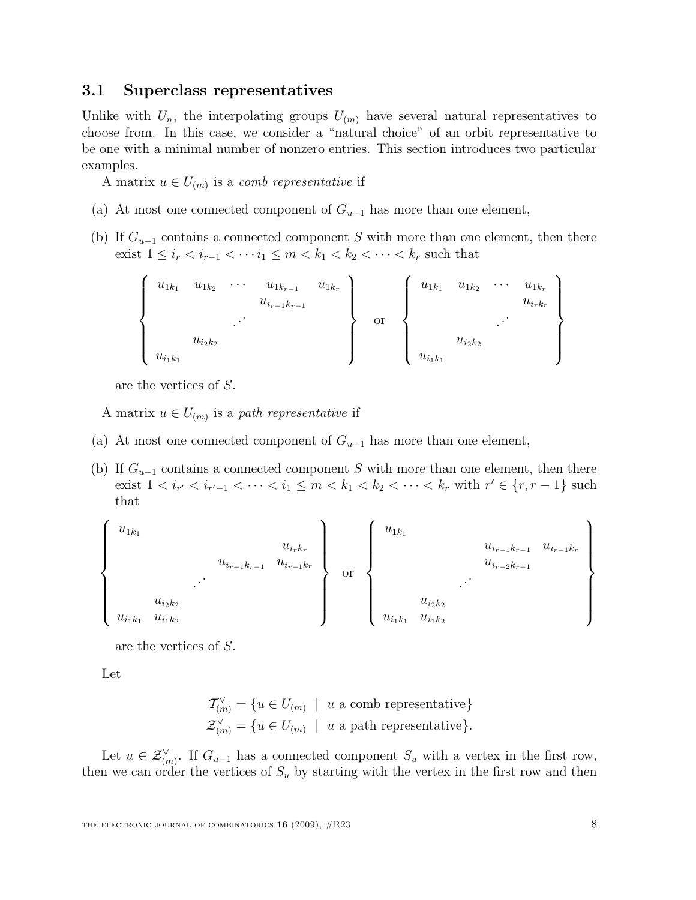#### 3.1 Superclass representatives

Unlike with  $U_n$ , the interpolating groups  $U_{(m)}$  have several natural representatives to choose from. In this case, we consider a "natural choice" of an orbit representative to be one with a minimal number of nonzero entries. This section introduces two particular examples.

A matrix  $u \in U_{(m)}$  is a *comb representative* if

- (a) At most one connected component of  $G_{u-1}$  has more than one element,
- (b) If  $G_{u-1}$  contains a connected component S with more than one element, then there exist  $1 \le i_r < i_{r-1} < \cdots i_1 \le m < k_1 < k_2 < \cdots < k_r$  such that

$$
\left\{\begin{array}{cccc}\n u_{1k_1} & u_{1k_2} & \cdots & u_{1k_{r-1}} & u_{1k_r} \\
 & u_{i_{r-1}k_{r-1}} & & & \\
 & \ddots & & & \\
 u_{i_2k_2} & & & \\
 u_{i_1k_1} & & & & \n\end{array}\right\}
$$
 or 
$$
\left\{\begin{array}{cccc}\n u_{1k_1} & u_{1k_2} & \cdots & u_{1k_r} \\
 & u_{1k_2} & \cdots & u_{1k_r} \\
 & & \ddots & \\
 u_{i_1k_1} & & & \\
 u_{i_1k_1} & & & \n\end{array}\right\}
$$

are the vertices of S.

A matrix  $u \in U_{(m)}$  is a path representative if

- (a) At most one connected component of  $G_{u-1}$  has more than one element,
- (b) If  $G_{u-1}$  contains a connected component S with more than one element, then there exist  $1 < i_{r'} < i_{r'-1} < \cdots < i_1 \le m < k_1 < k_2 < \cdots < k_r$  with  $r' \in \{r, r-1\}$  such that

$$
\left\{\begin{array}{c} u_{1k_{1}} \hspace{1.5cm} u_{i_{k_{1}}} \hspace{1.5cm} u_{i_{k_{2}}} \hspace{1.5cm} u_{i_{k_{1}}} \hspace{1.5cm} u_{i_{k_{2}}} \hspace{1.5cm} u_{i_{k_{1}}} \hspace{1.5cm} u_{i_{k_{2}}} \hspace{1.5cm} u_{i_{k_{1}}} \hspace{1.5cm} u_{i_{k_{2}}} \hspace{1.5cm} u_{i_{k_{1}}} \hspace{1.5cm} u_{i_{k_{2}}} \hspace{1.5cm} u_{i_{k_{1}}} \hspace{1.5cm} u_{i_{k_{2}}} \hspace{1.5cm} u_{i_{k_{1}}} \hspace{1.5cm} u_{i_{k_{2}}} \hspace{1.5cm} u_{i_{k_{1}}} \hspace{1.5cm} u_{i_{k_{2}}} \hspace{1.5cm} u_{i_{k_{1}}} \hspace{1.5cm} u_{i_{k_{2}}} \hspace{1.5cm} u_{i_{k_{2}}} \hspace{1.5cm} u_{i_{k_{1}}} \hspace{1.5cm} u_{i_{k_{2}}} \hspace{1.5cm} u_{i_{k_{2}}} \hspace{1.5cm} u_{i_{k_{1}}} \hspace{1.5cm} u_{i_{k_{2}}} \hspace{1.5cm} u_{i_{k_{2}}} \hspace{1.5cm} u_{i_{k_{2}}} \hspace{1.5cm} u_{i_{k_{1}}} \hspace{1.5cm} u_{i_{k_{2}}} \hspace{1.5cm} u_{i_{k_{2}}} \hspace{1.5cm} u_{i_{k_{1}}} \hspace{1.5cm} u_{i_{k_{2}}} \hspace{1.5cm} u_{i_{k_{2}}} \hspace{1.5cm} u_{i_{k_{1}}} \hspace{1.5cm} u_{i_{k_{2}}} \hspace{1.5cm} u_{i_{k_{1}}} \hspace{1.5cm} u_{i_{k_{2}}} \hspace{1.5cm} u_{i_{k_{1}}} \hspace{1.5cm} u_{i_{k_{2}}} \hspace{1.5cm} u_{i_{k_{1}}} \hspace{1.5cm} u_{i_{k_{1}}} \hspace{1.5cm} u_{i_{k_{2}}} \hspace{1.5cm} u_{i_{k_{1}}} \hspace{1.5cm} u_{i_{k_{1}}} \hspace{1.5cm} u_{i
$$

are the vertices of S.

Let

$$
\mathcal{T}_{(m)}^{\vee} = \{ u \in U_{(m)} \mid u \text{ a comb representative} \}
$$
  

$$
\mathcal{Z}_{(m)}^{\vee} = \{ u \in U_{(m)} \mid u \text{ a path representative} \}.
$$

Let  $u \in \mathcal{Z}_{(m)}^{\vee}$ . If  $G_{u-1}$  has a connected component  $S_u$  with a vertex in the first row, then we can order the vertices of  $S_u$  by starting with the vertex in the first row and then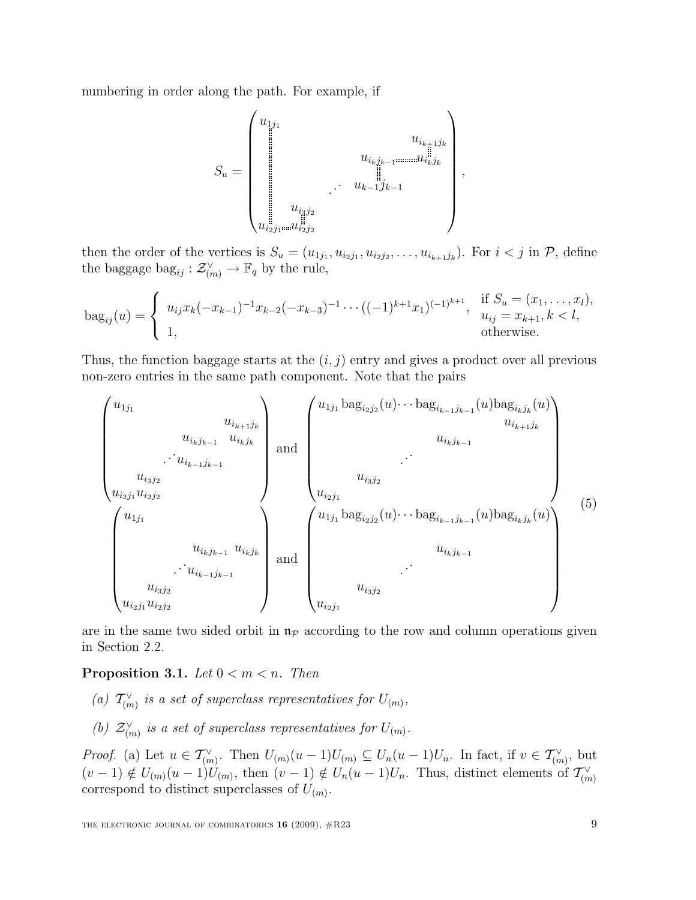numbering in order along the path. For example, if

S<sup>u</sup> = u1j<sup>1</sup> u<sup>i</sup>k+1j<sup>k</sup> u<sup>i</sup>kjk−<sup>1</sup> u<sup>i</sup>kj<sup>k</sup> . . . u<sup>k</sup>−1j<sup>k</sup>−<sup>1</sup> u<sup>i</sup>3j<sup>2</sup> u<sup>i</sup>2j<sup>1</sup> u<sup>i</sup>2j<sup>2</sup> ,

then the order of the vertices is  $S_u = (u_{1j_1}, u_{i_2j_1}, u_{i_2j_2}, \ldots, u_{i_{k+1}j_k})$ . For  $i < j$  in  $P$ , define the baggage  $\text{bag}_{ij}: \mathcal{Z}^{\vee}_{(m)} \to \mathbb{F}_q$  by the rule,

$$
\text{bag}_{ij}(u) = \begin{cases} u_{ij}x_k(-x_{k-1})^{-1}x_{k-2}(-x_{k-3})^{-1} \cdots ((-1)^{k+1}x_1)^{(-1)^{k+1}}, & \text{if } S_u = (x_1, \ldots, x_l), \\ 1, & \text{otherwise.} \end{cases}
$$

Thus, the function baggage starts at the  $(i, j)$  entry and gives a product over all previous non-zero entries in the same path component. Note that the pairs

 u1j<sup>1</sup> u<sup>i</sup>k+1j<sup>k</sup> u<sup>i</sup>kjk−<sup>1</sup> u<sup>i</sup>kj<sup>k</sup> . . . u<sup>i</sup>k−1jk−<sup>1</sup> u<sup>i</sup>3j<sup>2</sup> u<sup>i</sup>2j<sup>1</sup> u<sup>i</sup>2j<sup>2</sup> and u1j<sup>1</sup> bag<sup>i</sup>2j<sup>2</sup> (u)· · · bag<sup>i</sup>k−1jk−<sup>1</sup> (u)bag<sup>i</sup>kj<sup>k</sup> (u) u<sup>i</sup>k+1j<sup>k</sup> u<sup>i</sup>kjk−<sup>1</sup> . . . u<sup>i</sup>3j<sup>2</sup> u<sup>i</sup>2j<sup>1</sup> u1j<sup>1</sup> u<sup>i</sup>kjk−<sup>1</sup> u<sup>i</sup>kj<sup>k</sup> . . . u<sup>i</sup>k−1jk−<sup>1</sup> u<sup>i</sup>3j<sup>2</sup> u<sup>i</sup>2j<sup>1</sup> u<sup>i</sup>2j<sup>2</sup> and u1j<sup>1</sup> bag<sup>i</sup>2j<sup>2</sup> (u)· · · bag<sup>i</sup>k−1jk−<sup>1</sup> (u)bag<sup>i</sup>kj<sup>k</sup> (u) u<sup>i</sup>kjk−<sup>1</sup> . . . u<sup>i</sup>3j<sup>2</sup> u<sup>i</sup>2j<sup>1</sup> (5)

are in the same two sided orbit in  $\mathfrak{n}_{\mathcal{P}}$  according to the row and column operations given in Section 2.2.

#### **Proposition 3.1.** Let  $0 < m < n$ . Then

- (a)  $T_{(m)}^{\vee}$  is a set of superclass representatives for  $U_{(m)}$ ,
- (b)  $\mathcal{Z}_{(m)}^{\vee}$  is a set of superclass representatives for  $U_{(m)}$ .

*Proof.* (a) Let  $u \in \mathcal{T}_{(m)}^{\vee}$ . Then  $U_{(m)}(u-1)U_{(m)} \subseteq U_n(u-1)U_n$ . In fact, if  $v \in \mathcal{T}_{(m)}^{\vee}$ , but  $(v-1) \notin U_{(m)}(u-1)U_{(m)}$ , then  $(v-1) \notin U_n(u-1)U_n$ . Thus, distinct elements of  $\mathcal{T}_{(m)}^{\vee}$ correspond to distinct superclasses of  $U_{(m)}$ .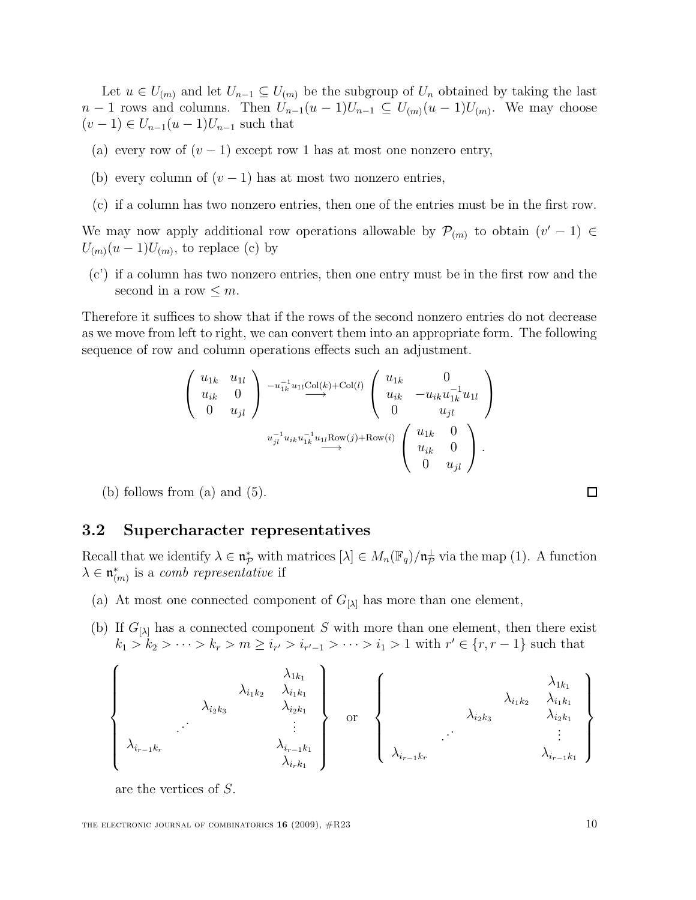Let  $u \in U_{(m)}$  and let  $U_{n-1} \subseteq U_{(m)}$  be the subgroup of  $U_n$  obtained by taking the last  $n-1$  rows and columns. Then  $U_{n-1}(u-1)U_{n-1} \subseteq U_{(m)}(u-1)U_{(m)}$ . We may choose  $(v-1) \in U_{n-1}(u-1)U_{n-1}$  such that

- (a) every row of  $(v 1)$  except row 1 has at most one nonzero entry,
- (b) every column of  $(v-1)$  has at most two nonzero entries,
- (c) if a column has two nonzero entries, then one of the entries must be in the first row.

We may now apply additional row operations allowable by  $\mathcal{P}_{(m)}$  to obtain  $(v'-1) \in$  $U_{(m)}(u-1)U_{(m)}$ , to replace (c) by

(c') if a column has two nonzero entries, then one entry must be in the first row and the second in a row  $\leq m$ .

Therefore it suffices to show that if the rows of the second nonzero entries do not decrease as we move from left to right, we can convert them into an appropriate form. The following sequence of row and column operations effects such an adjustment.

$$
\begin{pmatrix}\nu_{1k} & u_{1l} \\
u_{ik} & 0 \\
0 & u_{jl}\n\end{pmatrix}\n\xrightarrow{-u_{1k}^{-1}u_{1l}\text{Col}(k)+\text{Col}(l)}\n\begin{pmatrix}\nu_{1k} & 0 \\
u_{ik} & -u_{ik}u_{1k}^{-1}u_{1l} \\
0 & u_{jl}\n\end{pmatrix}
$$
\n
$$
u_{jl}^{-1}u_{ik}u_{1k}^{-1}u_{1l}\text{Row}(j)+\text{Row}(i)\n\begin{pmatrix}\nu_{1k} & 0 \\
u_{ik} & 0 \\
0 & u_{jl}\n\end{pmatrix}.
$$

(b) follows from  $(a)$  and  $(5)$ .

#### 3.2 Supercharacter representatives

Recall that we identify  $\lambda \in \mathfrak{n}_p^*$  with matrices  $[\lambda] \in M_n(\mathbb{F}_q)/\mathfrak{n}_p^{\perp}$  via the map (1). A function  $\lambda \in \mathfrak{n}_{(m)}^*$  is a *comb representative* if

- (a) At most one connected component of  $G_{[\lambda]}$  has more than one element,
- (b) If  $G_{[\lambda]}$  has a connected component S with more than one element, then there exist  $k_1 > k_2 > \cdots > k_r > m \geq i_{r'} > i_{r'-1} > \cdots > i_1 > 1$  with  $r' \in \{r, r-1\}$  such that

$$
\left\{\begin{array}{c}\n\lambda_{1k_1} \\
\lambda_{i_1k_2} \\
\lambda_{i_2k_3} \\
\vdots \\
\lambda_{i_{r-1}k_r} \\
\lambda_{i_{r+1}k_1} \\
\lambda_{i_rk_1}\n\end{array}\right\}\n\quad\n\text{or}\n\quad\n\left\{\begin{array}{c}\n\lambda_{1k_1} \\
\lambda_{i_1k_2} \\
\lambda_{i_2k_3} \\
\vdots \\
\lambda_{i_{r-1}k_r} \\
\lambda_{i_{r-1}k_r}\n\end{array}\right\}
$$

are the vertices of S.

 $\Box$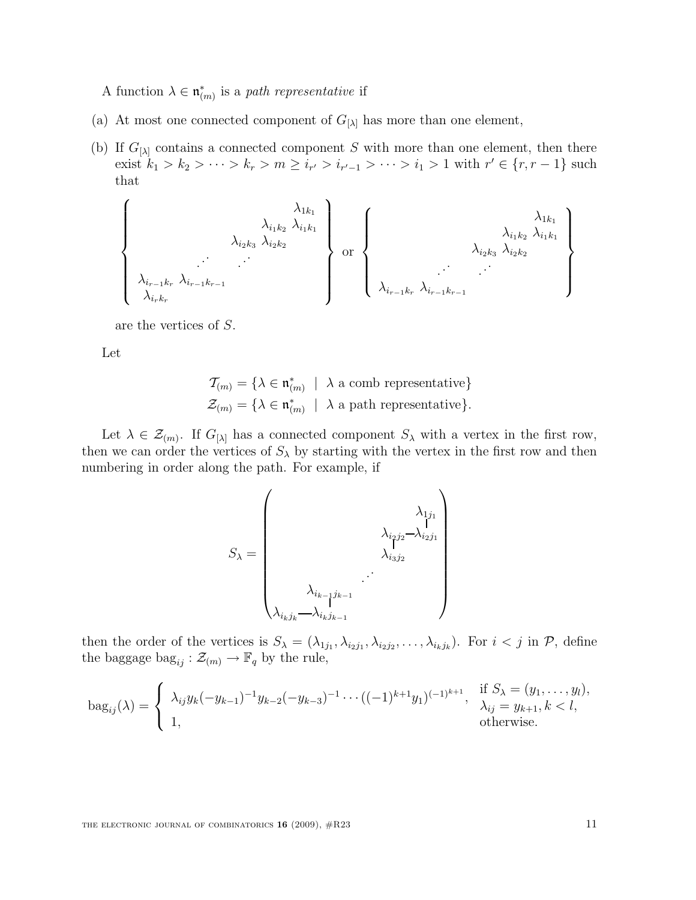A function  $\lambda \in \mathfrak{n}_{(m)}^*$  is a path representative if

- (a) At most one connected component of  $G_{[\lambda]}$  has more than one element,
- (b) If  $G_{[\lambda]}$  contains a connected component S with more than one element, then there exist  $k_1 > k_2 > \cdots > k_r > m \ge i_{r'} > i_{r'-1} > \cdots > i_1 > 1$  with  $r' \in \{r, r-1\}$  such that

$$
\left\{\begin{array}{c}\lambda_{1k_{1}}\lambda_{i_{1}k_{2}}\lambda_{i_{1}k_{1}}\lambda_{i_{2}k_{2}}\lambda_{i_{2}k_{2}}\end{array}\right\}\text{ or }\begin{Bmatrix}\lambda_{1k_{1}}\lambda_{i_{1}k_{2}}\lambda_{i_{1}k_{1}}\lambda_{i_{2}k_{2}}\lambda_{i_{1}k_{1}}\lambda_{i_{2}k_{2}}\lambda_{i_{2}k_{2}}\end{Bmatrix}\right\}
$$

are the vertices of S.

Let

$$
\mathcal{T}_{(m)} = \{ \lambda \in \mathfrak{n}_{(m)}^* \mid \lambda \text{ a comb representative} \}
$$

$$
\mathcal{Z}_{(m)} = \{ \lambda \in \mathfrak{n}_{(m)}^* \mid \lambda \text{ a path representative} \}.
$$

Let  $\lambda \in \mathcal{Z}_{(m)}$ . If  $G_{[\lambda]}$  has a connected component  $S_{\lambda}$  with a vertex in the first row, then we can order the vertices of  $S_\lambda$  by starting with the vertex in the first row and then numbering in order along the path. For example, if

$$
S_{\lambda} = \begin{pmatrix} \lambda_{1j_1} \\ \lambda_{i_2j_2} - \lambda_{i_2j_1} \\ \lambda_{i_3j_2} \\ \vdots \\ \lambda_{i_kj_k} - \lambda_{i_kj_{k-1}} \end{pmatrix}
$$

then the order of the vertices is  $S_{\lambda} = (\lambda_{1j_1}, \lambda_{i_2j_1}, \lambda_{i_2j_2}, \ldots, \lambda_{i_kj_k})$ . For  $i < j$  in  $P$ , define the baggage  $\text{bag}_{ij}: \mathcal{Z}_{(m)} \to \mathbb{F}_q$  by the rule,

$$
\text{bag}_{ij}(\lambda) = \begin{cases} \lambda_{ij} y_k (-y_{k-1})^{-1} y_{k-2} (-y_{k-3})^{-1} \cdots ((-1)^{k+1} y_1)^{(-1)^{k+1}}, & \text{if } S_\lambda = (y_1, \ldots, y_l), \\ 1, & \text{otherwise.} \end{cases}
$$

THE ELECTRONIC JOURNAL OF COMBINATORICS  $16$  (2009),  $\#R23$  11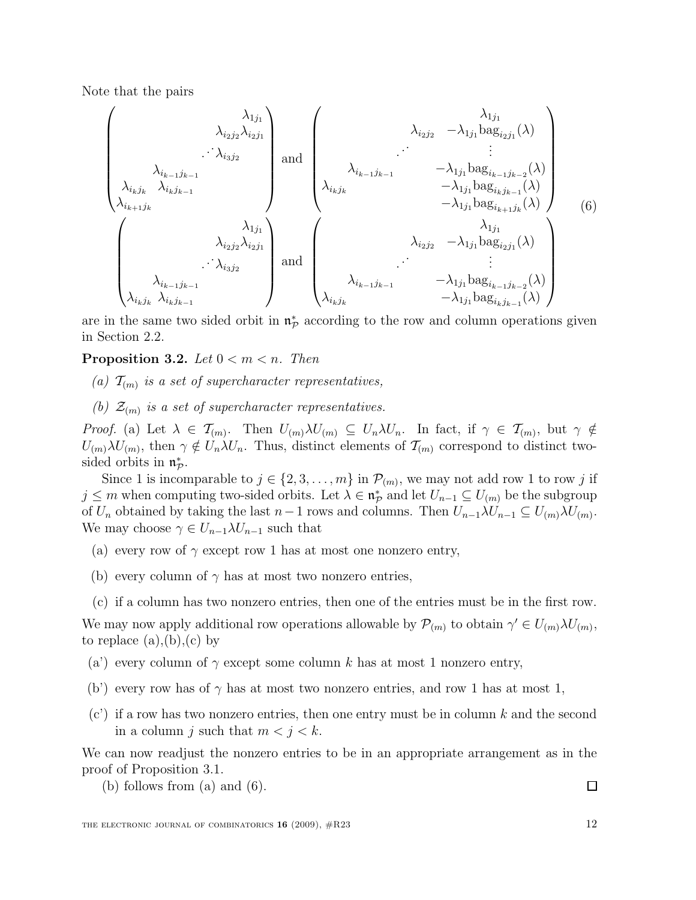Note that the pairs

$$
\begin{pmatrix}\n\lambda_{1j_{1}} \\
\lambda_{i_{2}j_{2}}\lambda_{i_{2}j_{1}} \\
\lambda_{i_{k-1}j_{k-1}} \\
\lambda_{i_{k}j_{k}}\lambda_{i_{k}j_{k-1}}\n\end{pmatrix}\n\text{ and }\n\begin{pmatrix}\n\lambda_{1j_{1}} \\
\lambda_{i_{2}j_{2}} & -\lambda_{1j_{1}}\text{bag}_{i_{2}j_{1}}(\lambda) \\
\vdots \\
\lambda_{i_{k}j_{k}}\lambda_{i_{k}j_{k-1}}\n\end{pmatrix}\n\begin{pmatrix}\n\lambda_{1j_{1}} \\
\lambda_{i_{k-1}j_{k-1}} & -\lambda_{1j_{1}}\text{bag}_{i_{k-1}j_{k-2}}(\lambda) \\
-\lambda_{1j_{1}}\text{bag}_{i_{k}j_{k-1}}(\lambda) \\
-\lambda_{1j_{1}}\text{bag}_{i_{k}j_{k-1}}(\lambda)\n\end{pmatrix}\n\begin{pmatrix}\n\lambda_{1j_{1}} \\
\lambda_{i_{k}j_{k}} & \lambda_{i_{k}j_{k-1}}\n\end{pmatrix}\n\begin{pmatrix}\n\lambda_{1j_{1}} \\
\lambda_{i_{k}j_{k}} & \lambda_{i_{k}j_{k-1}}\n\end{pmatrix}\n\begin{pmatrix}\n\lambda_{1j_{1}} \\
\lambda_{i_{k}j_{k}} & \lambda_{i_{k}j_{k-1}}\n\end{pmatrix}\n\begin{pmatrix}\n\lambda_{1j_{1}} \\
\lambda_{i_{k}j_{k}} & \lambda_{i_{k}j_{k-1}}\n\end{pmatrix}\n\begin{pmatrix}\n\lambda_{1j_{1}} \\
\lambda_{1j_{1}}\text{bag}_{i_{k}j_{k-1}}(\lambda) \\
\lambda_{i_{k}j_{k}} & \lambda_{i_{k}j_{k-1}}\n\end{pmatrix}\n\begin{pmatrix}\n\lambda_{1j_{1}} \\
\lambda_{1j_{1}}\text{bag}_{i_{k-1}j_{k-2}}(\lambda) \\
\lambda_{i_{k}j_{k}} & -\lambda_{1j_{1}}\text{bag}_{i_{k}j_{k-1}}(\lambda)\n\end{pmatrix}\n\begin{pmatrix}\n\lambda_{1j_{1}} \\
\lambda_{1j_{1}}\text{bag}_{i_{k}j_{k-1}}(\lambda) \\
\lambda_{1j_{1}}\text{bag}_{i_{k}j_{k-1}}(\lambda)\n\end{pmatrix}
$$

are in the same two sided orbit in  $\mathfrak{n}_p^*$  according to the row and column operations given in Section 2.2.

#### **Proposition 3.2.** Let  $0 < m < n$ . Then

- (a)  $\mathcal{T}_{(m)}$  is a set of supercharacter representatives,
- (b)  $\mathcal{Z}_{(m)}$  is a set of supercharacter representatives.

Proof. (a) Let  $\lambda \in \mathcal{T}_{(m)}$ . Then  $U_{(m)}\lambda U_{(m)} \subseteq U_n\lambda U_n$ . In fact, if  $\gamma \in \mathcal{T}_{(m)}$ , but  $\gamma \notin$  $U_{(m)}\lambda U_{(m)}$ , then  $\gamma \notin U_n\lambda U_n$ . Thus, distinct elements of  $\mathcal{T}_{(m)}$  correspond to distinct twosided orbits in  $\mathfrak{n}_{\mathcal{P}}^*$ .

Since 1 is incomparable to  $j \in \{2, 3, ..., m\}$  in  $\mathcal{P}_{(m)}$ , we may not add row 1 to row j if  $j \leq m$  when computing two-sided orbits. Let  $\lambda \in \mathfrak{n}_{\mathcal{P}}^*$  and let  $U_{n-1} \subseteq U_{(m)}$  be the subgroup of  $U_n$  obtained by taking the last  $n-1$  rows and columns. Then  $U_{n-1}\lambda U_{n-1} \subseteq U_{(m)}\lambda U_{(m)}$ . We may choose  $\gamma \in U_{n-1} \lambda U_{n-1}$  such that

- (a) every row of  $\gamma$  except row 1 has at most one nonzero entry,
- (b) every column of  $\gamma$  has at most two nonzero entries,
- (c) if a column has two nonzero entries, then one of the entries must be in the first row.

We may now apply additional row operations allowable by  $\mathcal{P}_{(m)}$  to obtain  $\gamma' \in U_{(m)}\lambda U_{(m)}$ , to replace  $(a), (b), (c)$  by

- (a') every column of  $\gamma$  except some column k has at most 1 nonzero entry,
- (b') every row has of  $\gamma$  has at most two nonzero entries, and row 1 has at most 1,
- $(c')$  if a row has two nonzero entries, then one entry must be in column k and the second in a column j such that  $m < j < k$ .

We can now readjust the nonzero entries to be in an appropriate arrangement as in the proof of Proposition 3.1.

(b) follows from  $(a)$  and  $(6)$ .

 $\Box$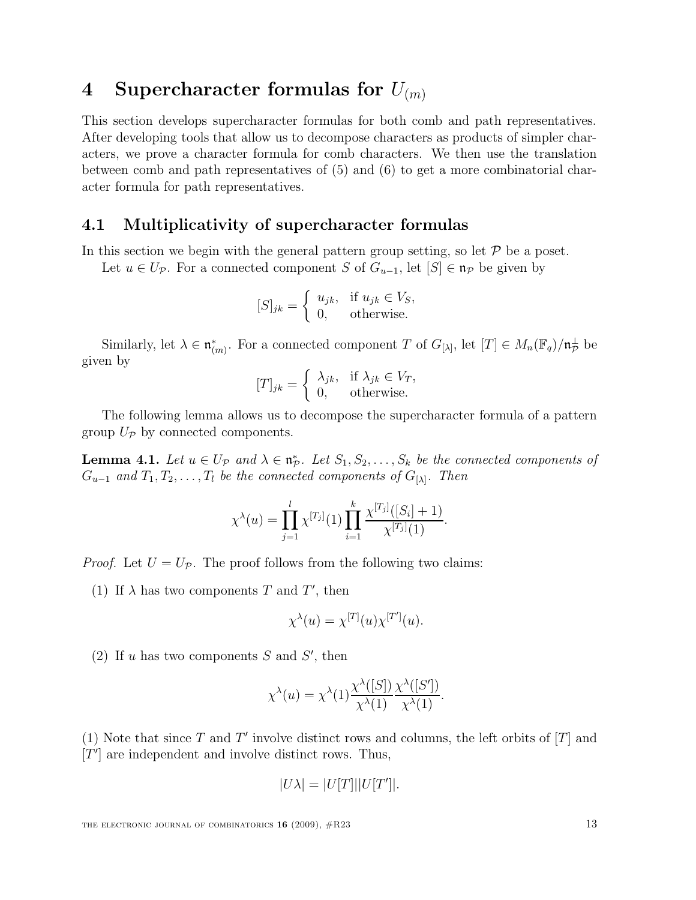## 4 Supercharacter formulas for  $U_{(m)}$

This section develops supercharacter formulas for both comb and path representatives. After developing tools that allow us to decompose characters as products of simpler characters, we prove a character formula for comb characters. We then use the translation between comb and path representatives of (5) and (6) to get a more combinatorial character formula for path representatives.

#### 4.1 Multiplicativity of supercharacter formulas

In this section we begin with the general pattern group setting, so let  $P$  be a poset.

Let  $u \in U_{\mathcal{P}}$ . For a connected component S of  $G_{u-1}$ , let  $[S] \in \mathfrak{n}_{\mathcal{P}}$  be given by

$$
[S]_{jk} = \begin{cases} u_{jk}, & \text{if } u_{jk} \in V_S, \\ 0, & \text{otherwise.} \end{cases}
$$

Similarly, let  $\lambda \in \mathfrak{n}_{(m)}^*$ . For a connected component T of  $G_{[\lambda]}$ , let  $[T] \in M_n(\mathbb{F}_q)/\mathfrak{n}_p^{\perp}$  be given by

$$
[T]_{jk} = \begin{cases} \lambda_{jk}, & \text{if } \lambda_{jk} \in V_T, \\ 0, & \text{otherwise.} \end{cases}
$$

The following lemma allows us to decompose the supercharacter formula of a pattern group  $U_{\mathcal{P}}$  by connected components.

**Lemma 4.1.** Let  $u \in U_{\mathcal{P}}$  and  $\lambda \in \mathfrak{n}_{\mathcal{P}}^*$ . Let  $S_1, S_2, \ldots, S_k$  be the connected components of  $G_{u-1}$  and  $T_1, T_2, \ldots, T_l$  be the connected components of  $G_{[\lambda]}$ . Then

$$
\chi^{\lambda}(u) = \prod_{j=1}^{l} \chi^{[T_j]}(1) \prod_{i=1}^{k} \frac{\chi^{[T_j]}([S_i] + 1)}{\chi^{[T_j]}(1)}.
$$

*Proof.* Let  $U = U_{\mathcal{P}}$ . The proof follows from the following two claims:

(1) If  $\lambda$  has two components T and T', then

$$
\chi^{\lambda}(u) = \chi^{[T]}(u)\chi^{[T']}(u).
$$

(2) If  $u$  has two components  $S$  and  $S'$ , then

$$
\chi^{\lambda}(u) = \chi^{\lambda}(1) \frac{\chi^{\lambda}([S])}{\chi^{\lambda}(1)} \frac{\chi^{\lambda}([S'])}{\chi^{\lambda}(1)}.
$$

(1) Note that since T and T' involve distinct rows and columns, the left orbits of  $[T]$  and  $[T']$  are independent and involve distinct rows. Thus,

$$
|U\lambda| = |U[T]||U[T']|.
$$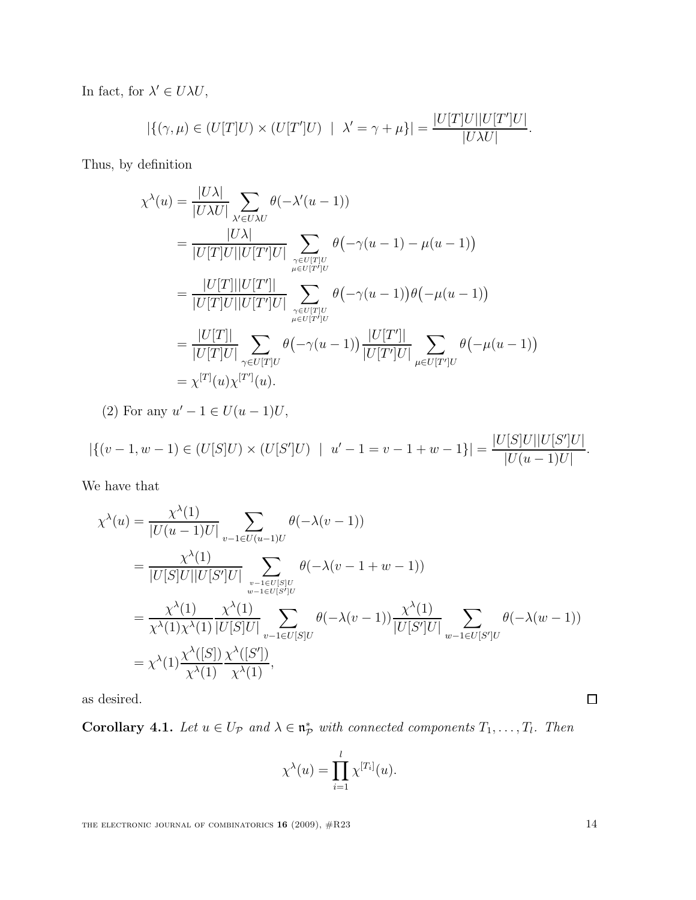In fact, for  $\lambda' \in U\lambda U$ ,

$$
|\{(\gamma,\mu) \in (U[T]U) \times (U[T']U) \mid \lambda' = \gamma + \mu\}| = \frac{|U[T]U||U[T']U|}{|U\lambda U|}.
$$

Thus, by definition

$$
\chi^{\lambda}(u) = \frac{|U\lambda|}{|U\lambda U|} \sum_{\substack{\lambda' \in U\lambda U}} \theta(-\lambda'(u-1))
$$
  
\n
$$
= \frac{|U\lambda|}{|U[T]U||U[T']U|} \sum_{\substack{\gamma \in U[T]U \\ \mu \in U[T']U}} \theta(-\gamma(u-1) - \mu(u-1))
$$
  
\n
$$
= \frac{|U[T]||U[T']|}{|U[T]U||U[T']U|} \sum_{\substack{\gamma \in U[T]U \\ \mu \in U[T']U}} \theta(-\gamma(u-1))\theta(-\mu(u-1))
$$
  
\n
$$
= \frac{|U[T]|}{|U[T]U|} \sum_{\gamma \in U[T]U} \theta(-\gamma(u-1)) \frac{|U[T']|}{|U[T']U|} \sum_{\mu \in U[T']U} \theta(-\mu(u-1))
$$
  
\n
$$
= \chi^{[T]}(u)\chi^{[T']}(u).
$$

(2) For any  $u' - 1 \in U(u - 1)U$ ,

$$
|\{(v-1, w-1) \in (U[S]U) \times (U[S']U) \mid u'-1 = v-1+w-1\}| = \frac{|U[S]U||U[S']U|}{|U(u-1)U|}.
$$

We have that

$$
\chi^{\lambda}(u) = \frac{\chi^{\lambda}(1)}{|U(u-1)U|} \sum_{v-1 \in U(u-1)U} \theta(-\lambda(v-1))
$$
  
\n
$$
= \frac{\chi^{\lambda}(1)}{|U[S]U||U[S']U|} \sum_{\substack{v-1 \in U[S]U \ w-1 \in U[S']U}} \theta(-\lambda(v-1+w-1))
$$
  
\n
$$
= \frac{\chi^{\lambda}(1)}{\chi^{\lambda}(1)\chi^{\lambda}(1)} \frac{\chi^{\lambda}(1)}{|U[S]U|} \sum_{v-1 \in U[S]U} \theta(-\lambda(v-1)) \frac{\chi^{\lambda}(1)}{|U[S']U|} \sum_{w-1 \in U[S']U} \theta(-\lambda(w-1))
$$
  
\n
$$
= \chi^{\lambda}(1) \frac{\chi^{\lambda}([S])}{\chi^{\lambda}(1)} \frac{\chi^{\lambda}([S'])}{\chi^{\lambda}(1)},
$$

as desired.

Corollary 4.1. Let  $u \in U_{\mathcal{P}}$  and  $\lambda \in \mathfrak{n}_{\mathcal{P}}^*$  with connected components  $T_1, \ldots, T_l$ . Then

$$
\chi^{\lambda}(u) = \prod_{i=1}^{l} \chi^{[T_i]}(u).
$$

 $\Box$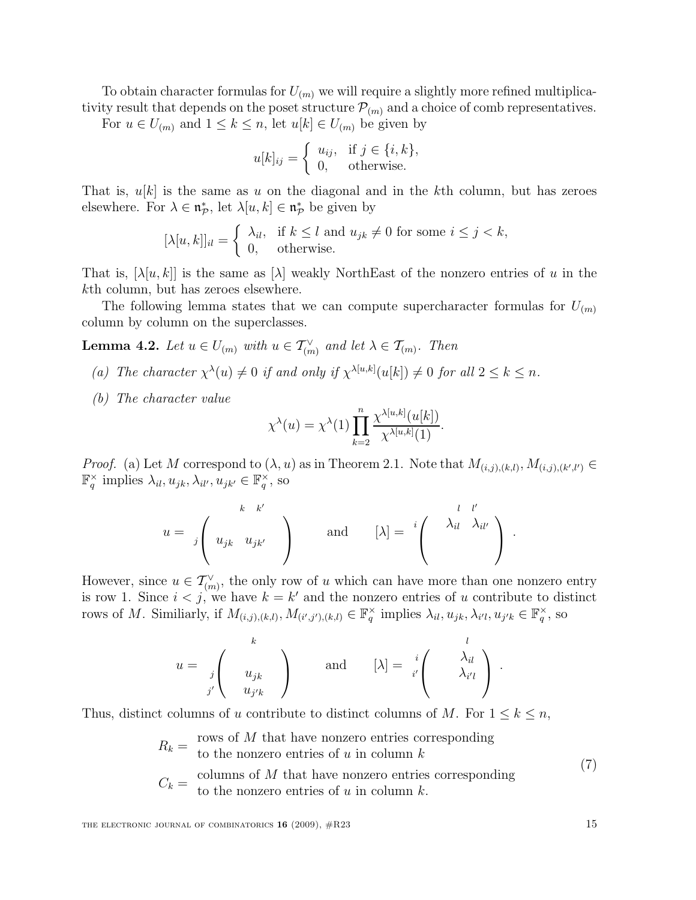To obtain character formulas for  $U_{(m)}$  we will require a slightly more refined multiplicativity result that depends on the poset structure  $\mathcal{P}_{(m)}$  and a choice of comb representatives.

For  $u \in U_{(m)}$  and  $1 \leq k \leq n$ , let  $u[k] \in U_{(m)}$  be given by

$$
u[k]_{ij} = \begin{cases} u_{ij}, & \text{if } j \in \{i, k\}, \\ 0, & \text{otherwise.} \end{cases}
$$

That is,  $u[k]$  is the same as u on the diagonal and in the kth column, but has zeroes elsewhere. For  $\lambda \in \mathfrak{n}_{\mathcal{P}}^*$ , let  $\lambda[u, k] \in \mathfrak{n}_{\mathcal{P}}^*$  be given by

$$
[\lambda[u,k]]_{il} = \begin{cases} \lambda_{il}, & \text{if } k \le l \text{ and } u_{jk} \neq 0 \text{ for some } i \le j < k, \\ 0, & \text{otherwise.} \end{cases}
$$

That is,  $[\lambda[u, k]]$  is the same as  $[\lambda]$  weakly NorthEast of the nonzero entries of u in the kth column, but has zeroes elsewhere.

The following lemma states that we can compute supercharacter formulas for  $U_{(m)}$ column by column on the superclasses.

**Lemma 4.2.** Let  $u \in U_{(m)}$  with  $u \in \mathcal{T}_{(m)}^{\vee}$  and let  $\lambda \in \mathcal{T}_{(m)}$ . Then

- (a) The character  $\chi^{\lambda}(u) \neq 0$  if and only if  $\chi^{\lambda[u,k]}(u[k]) \neq 0$  for all  $2 \leq k \leq n$ .
- (b) The character value

$$
\chi^{\lambda}(u) = \chi^{\lambda}(1) \prod_{k=2}^{n} \frac{\chi^{\lambda[u,k]}(u[k])}{\chi^{\lambda[u,k]}(1)}.
$$

*Proof.* (a) Let M correspond to  $(\lambda, u)$  as in Theorem 2.1. Note that  $M_{(i,j),(k,l)}, M_{(i,j),(k',l')} \in$  $\mathbb{F}_q^{\times}$  implies  $\lambda_{il}, u_{jk}, \lambda_{il'}, u_{jk'} \in \mathbb{F}_q^{\times}$ , so

$$
u = \left\{ \begin{array}{c} k - k' \\ u_{jk} - u_{jk'} \end{array} \right\} \quad \text{and} \quad [\lambda] = \left\{ \begin{array}{c} l - l' \\ \lambda_{il} - \lambda_{il'} \end{array} \right\} .
$$

However, since  $u \in \mathcal{T}_{(m)}^{\vee}$ , the only row of u which can have more than one nonzero entry is row 1. Since  $i < j$ , we have  $k = k'$  and the nonzero entries of u contribute to distinct rows of M. Similiarly, if  $M_{(i,j),(k,l)}, M_{(i',j'),(k,l)} \in \mathbb{F}_q^\times$  implies  $\lambda_{il}, u_{jk}, \lambda_{i'l}, u_{j'k} \in \mathbb{F}_q^\times$ , so

$$
u = \begin{pmatrix} k \\ u_{jk} \\ i' \end{pmatrix} \quad \text{and} \quad [\lambda] = \begin{pmatrix} l \\ \lambda_{il} \\ i' \end{pmatrix}.
$$

Thus, distinct columns of u contribute to distinct columns of M. For  $1 \leq k \leq n$ ,

 $R_k = \frac{\text{rows of } M \text{ that have nonzero entries corresponding}}{\text{to the nonzero entries of } k \text{ in column } k}$ to the nonzero entries of  $u$  in column  $k$ (7)

$$
C_k = \begin{array}{c} \text{columns of } M \text{ that have nonzero entries corresponding} \\ \text{to the nonzero entries of } u \text{ in column } k. \end{array}
$$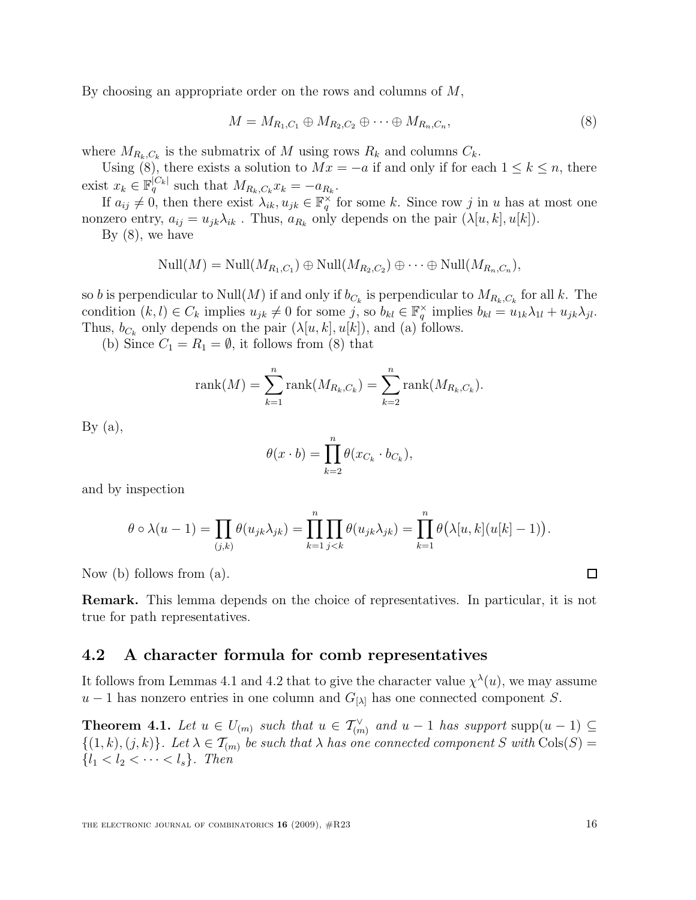By choosing an appropriate order on the rows and columns of M,

$$
M = M_{R_1, C_1} \oplus M_{R_2, C_2} \oplus \cdots \oplus M_{R_n, C_n},\tag{8}
$$

where  $M_{R_k, C_k}$  is the submatrix of M using rows  $R_k$  and columns  $C_k$ .

Using (8), there exists a solution to  $Mx = -a$  if and only if for each  $1 \leq k \leq n$ , there exist  $x_k \in \mathbb{F}_q^{|C_k|}$  such that  $M_{R_k,C_k} x_k = -a_{R_k}$ .

If  $a_{ij} \neq 0$ , then there exist  $\lambda_{ik}, u_{jk} \in \mathbb{F}_q^{\times}$  for some k. Since row j in u has at most one nonzero entry,  $a_{ij} = u_{jk} \lambda_{ik}$ . Thus,  $a_{R_k}$  only depends on the pair  $(\lambda[u, k], u[k])$ .

By (8), we have

$$
\text{Null}(M) = \text{Null}(M_{R_1,C_1}) \oplus \text{Null}(M_{R_2,C_2}) \oplus \cdots \oplus \text{Null}(M_{R_n,C_n}),
$$

so b is perpendicular to Null $(M)$  if and only if  $b_{C_k}$  is perpendicular to  $M_{R_k,C_k}$  for all k. The condition  $(k, l) \in C_k$  implies  $u_{jk} \neq 0$  for some j, so  $b_{kl} \in \mathbb{F}_q^\times$  implies  $b_{kl} = u_{1k} \lambda_{1l} + u_{jk} \lambda_{jl}$ . Thus,  $b_{C_k}$  only depends on the pair  $(\lambda[u, k], u[k])$ , and (a) follows.

(b) Since  $C_1 = R_1 = \emptyset$ , it follows from (8) that

rank
$$
(M)
$$
 =  $\sum_{k=1}^{n}$ rank $(M_{R_k,C_k})$  =  $\sum_{k=2}^{n}$ rank $(M_{R_k,C_k})$ .

By  $(a)$ ,

$$
\theta(x \cdot b) = \prod_{k=2}^{n} \theta(x_{C_k} \cdot b_{C_k}),
$$

and by inspection

$$
\theta \circ \lambda(u-1) = \prod_{(j,k)} \theta(u_{jk}\lambda_{jk}) = \prod_{k=1}^n \prod_{j
$$

Now (b) follows from (a).

Remark. This lemma depends on the choice of representatives. In particular, it is not true for path representatives.

#### 4.2 A character formula for comb representatives

It follows from Lemmas 4.1 and 4.2 that to give the character value  $\chi^{\lambda}(u)$ , we may assume  $u-1$  has nonzero entries in one column and  $G_{[\lambda]}$  has one connected component S.

**Theorem 4.1.** Let  $u \in U_{(m)}$  such that  $u \in \mathcal{T}_{(m)}^{\vee}$  and  $u-1$  has support supp $(u-1) \subseteq$  $\{(1, k), (j, k)\}\text{.}$  Let  $\lambda \in \mathcal{T}_{(m)}$  be such that  $\lambda$  has one connected component S with  $\text{Cols}(S)$  $\{l_1 < l_2 < \cdots < l_s\}.$  Then

 $\square$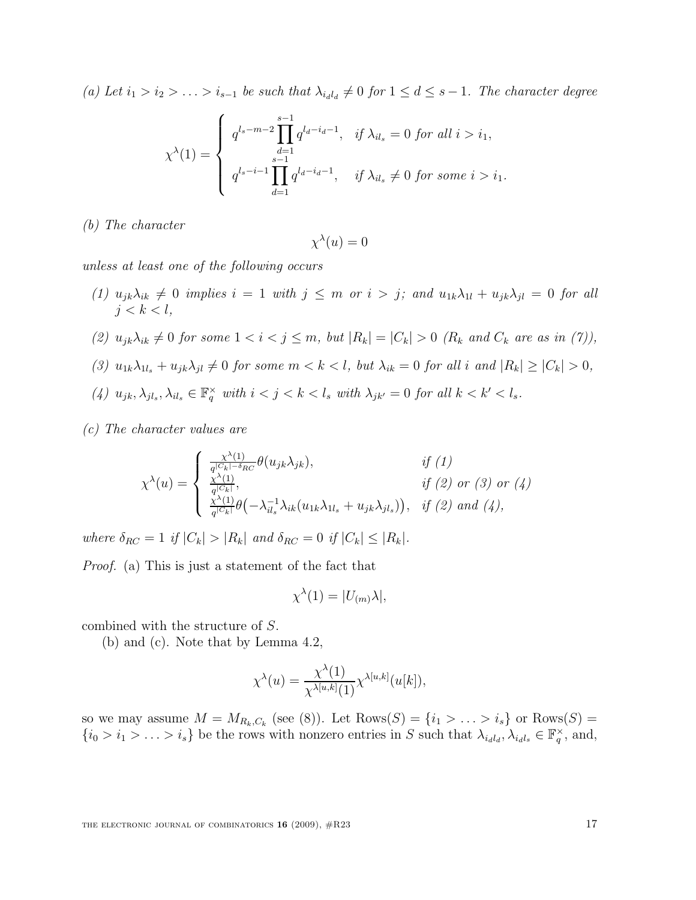(a) Let  $i_1 > i_2 > \ldots > i_{s-1}$  be such that  $\lambda_{i_d i_d} \neq 0$  for  $1 \leq d \leq s-1$ . The character degree

$$
\chi^{\lambda}(1) = \begin{cases} q^{l_s - m - 2} \prod_{d=1}^{s-1} q^{l_d - i_d - 1}, & \text{if } \lambda_{il_s} = 0 \text{ for all } i > i_1, \\ q^{l_s - i - 1} \prod_{d=1}^{s-1} q^{l_d - i_d - 1}, & \text{if } \lambda_{il_s} \neq 0 \text{ for some } i > i_1. \end{cases}
$$

(b) The character

$$
\chi^{\lambda}(u) = 0
$$

unless at least one of the following occurs

- (1)  $u_{jk}\lambda_{ik} \neq 0$  implies  $i = 1$  with  $j \leq m$  or  $i > j$ ; and  $u_{1k}\lambda_{1l} + u_{jk}\lambda_{jl} = 0$  for all  $j < k < l$ ,
- (2)  $u_{jk}\lambda_{ik} \neq 0$  for some  $1 < i < j \leq m$ , but  $|R_k| = |C_k| > 0$  ( $R_k$  and  $C_k$  are as in (7)),
- (3)  $u_{1k}\lambda_{1l_s}+u_{jk}\lambda_{jl}\neq 0$  for some  $m < k < l$ , but  $\lambda_{ik} = 0$  for all i and  $|R_k| \geq |C_k| > 0$ ,
- (4)  $u_{jk}, \lambda_{jl_s}, \lambda_{il_s} \in \mathbb{F}_q^{\times}$  with  $i < j < k < l_s$  with  $\lambda_{jk'} = 0$  for all  $k < k' < l_s$ .

(c) The character values are

$$
\chi^{\lambda}(u) = \begin{cases}\n\frac{\chi^{\lambda}(1)}{q^{|C_k| - \delta_{RC}}} \theta(u_{jk}\lambda_{jk}), & \text{if (1)} \\
\frac{\chi^{\lambda}(1)}{q^{|C_k|}}, & \text{if (2) or (3) or (4)} \\
\frac{\chi^{\lambda}(1)}{q^{|C_k|}} \theta(-\lambda_{il_s}^{-1}\lambda_{ik}(u_{1k}\lambda_{1l_s} + u_{jk}\lambda_{jl_s})), & \text{if (2) and (4)},\n\end{cases}
$$

where  $\delta_{RC} = 1$  if  $|C_k| > |R_k|$  and  $\delta_{RC} = 0$  if  $|C_k| < |R_k|$ .

Proof. (a) This is just a statement of the fact that

$$
\chi^{\lambda}(1) = |U_{(m)}\lambda|,
$$

combined with the structure of S.

(b) and (c). Note that by Lemma 4.2,

$$
\chi^{\lambda}(u) = \frac{\chi^{\lambda}(1)}{\chi^{\lambda[u,k]}(1)} \chi^{\lambda[u,k]}(u[k]),
$$

so we may assume  $M = M_{R_k, C_k}$  (see (8)). Let  $\text{Rows}(S) = \{i_1 > \ldots > i_s\}$  or  $\text{Rows}(S) =$  $\{i_0 > i_1 > \ldots > i_s\}$  be the rows with nonzero entries in S such that  $\lambda_{i_d l_d}, \lambda_{i_d l_s} \in \mathbb{F}_q^{\times}$ , and,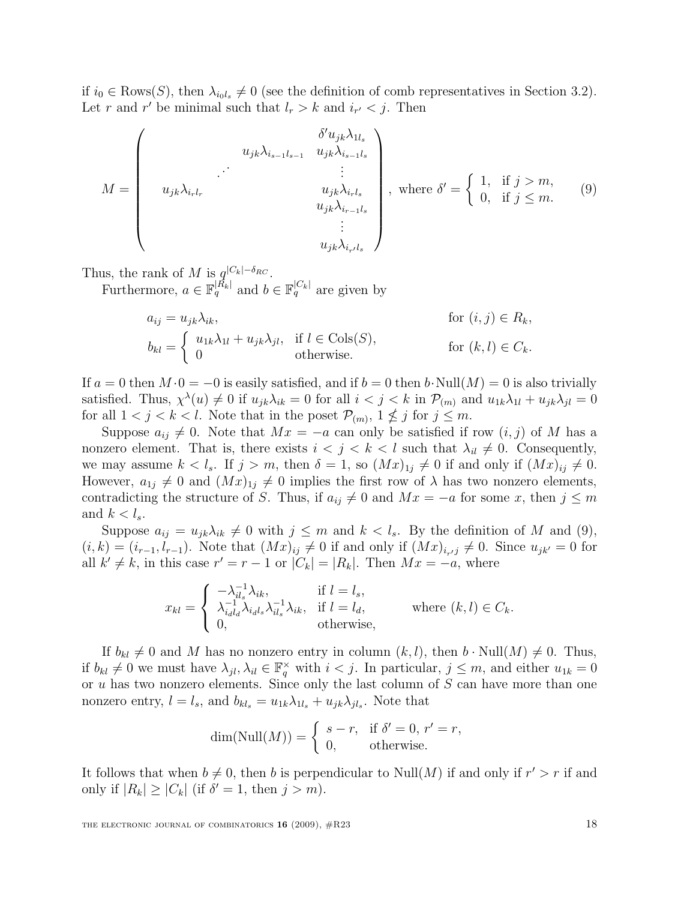if  $i_0 \in \text{Rows}(S)$ , then  $\lambda_{i_0l_s} \neq 0$  (see the definition of comb representatives in Section 3.2). Let r and r' be minimal such that  $l_r > k$  and  $i_{r'} < j$ . Then

$$
M = \begin{pmatrix} \delta' u_{jk} \lambda_{1l_s} \\ u_{jk} \lambda_{i_{s-1}l_{s-1}} & u_{jk} \lambda_{i_{s-1}l_s} \\ \vdots & \vdots \\ u_{jk} \lambda_{i_{r}l_r} & u_{jk} \lambda_{i_{r}l_s} \\ u_{jk} \lambda_{i_{r-1}l_s} & \vdots \\ u_{jk} \lambda_{i_{r}l_s} \end{pmatrix}, \text{ where } \delta' = \begin{cases} 1, & \text{if } j > m, \\ 0, & \text{if } j \leq m. \end{cases} \tag{9}
$$

Thus, the rank of M is  $q^{|C_k|-\delta_{RC}}$ .

Furthermore,  $a \in \mathbb{F}_q^{|\overline{R}_k|}$  and  $b \in \mathbb{F}_q^{|\overline{C}_k|}$  are given by

$$
a_{ij} = u_{jk}\lambda_{ik}, \qquad \text{for } (i,j) \in R_k,
$$
  
\n
$$
b_{kl} = \begin{cases} u_{1k}\lambda_{1l} + u_{jk}\lambda_{jl}, & \text{if } l \in \text{Cols}(S), \\ 0 & \text{otherwise.} \end{cases} \qquad \text{for } (k,l) \in C_k.
$$

If  $a = 0$  then  $M \cdot 0 = -0$  is easily satisfied, and if  $b = 0$  then  $b \cdot \text{Null}(M) = 0$  is also trivially satisfied. Thus,  $\chi^{\lambda}(u) \neq 0$  if  $u_{jk}\lambda_{ik} = 0$  for all  $i < j < k$  in  $\mathcal{P}_{(m)}$  and  $u_{1k}\lambda_{1l} + u_{jk}\lambda_{jl} = 0$ for all  $1 < j < k < l$ . Note that in the poset  $\mathcal{P}_{(m)}$ ,  $1 \nleq j$  for  $j \leq m$ .

Suppose  $a_{ij} \neq 0$ . Note that  $Mx = -a$  can only be satisfied if row  $(i, j)$  of M has a nonzero element. That is, there exists  $i < j < k < l$  such that  $\lambda_{il} \neq 0$ . Consequently, we may assume  $k < l_s$ . If  $j > m$ , then  $\delta = 1$ , so  $(Mx)_{1j} \neq 0$  if and only if  $(Mx)_{ij} \neq 0$ . However,  $a_{1j} \neq 0$  and  $(Mx)_{1j} \neq 0$  implies the first row of  $\lambda$  has two nonzero elements, contradicting the structure of S. Thus, if  $a_{ij} \neq 0$  and  $Mx = -a$  for some x, then  $j \leq m$ and  $k < l_s$ .

Suppose  $a_{ij} = u_{jk}\lambda_{ik} \neq 0$  with  $j \leq m$  and  $k < l_s$ . By the definition of M and (9),  $(i, k) = (i_{r-1}, l_{r-1})$ . Note that  $(Mx)_{ij} \neq 0$  if and only if  $(Mx)_{i_{r},j} \neq 0$ . Since  $u_{jk'} = 0$  for all  $k' \neq k$ , in this case  $r' = r - 1$  or  $|C_k| = |R_k|$ . Then  $Mx = -a$ , where

$$
x_{kl} = \begin{cases} -\lambda_{il_s}^{-1} \lambda_{ik}, & \text{if } l = l_s, \\ \lambda_{i_{dl_d}}^{-1} \lambda_{i_{dl_s}} \lambda_{il_s}^{-1} \lambda_{ik}, & \text{if } l = l_d, \\ 0, & \text{otherwise,} \end{cases} \qquad \text{where } (k, l) \in C_k.
$$

If  $b_{kl} \neq 0$  and M has no nonzero entry in column  $(k, l)$ , then  $b \cdot \text{Null}(M) \neq 0$ . Thus, if  $b_{kl} \neq 0$  we must have  $\lambda_{jl}, \lambda_{il} \in \mathbb{F}_q^{\times}$  with  $i < j$ . In particular,  $j \leq m$ , and either  $u_{1k} = 0$ or  $u$  has two nonzero elements. Since only the last column of  $S$  can have more than one nonzero entry,  $l = l_s$ , and  $b_{kl_s} = u_{1k} \lambda_{1l_s} + u_{jk} \lambda_{jl_s}$ . Note that

$$
\dim(\text{Null}(M)) = \begin{cases} s-r, & \text{if } \delta' = 0, r' = r, \\ 0, & \text{otherwise.} \end{cases}
$$

It follows that when  $b \neq 0$ , then b is perpendicular to Null $(M)$  if and only if  $r' > r$  if and only if  $|R_k| \geq |C_k|$  (if  $\delta' = 1$ , then  $j > m$ ).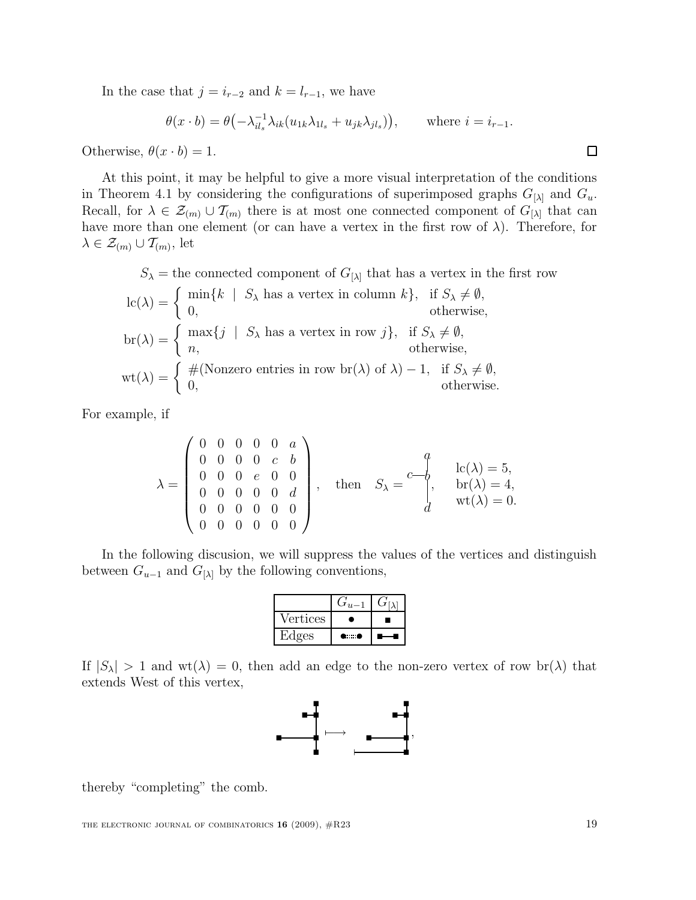In the case that  $j = i_{r-2}$  and  $k = l_{r-1}$ , we have

$$
\theta(x \cdot b) = \theta\left(-\lambda_{il_s}^{-1} \lambda_{ik}(u_{1k}\lambda_{1l_s} + u_{jk}\lambda_{jl_s})\right), \quad \text{where } i = i_{r-1}.
$$

Otherwise,  $\theta(x \cdot b) = 1$ .

At this point, it may be helpful to give a more visual interpretation of the conditions in Theorem 4.1 by considering the configurations of superimposed graphs  $G_{[\lambda]}$  and  $G_u$ . Recall, for  $\lambda \in \mathcal{Z}_{(m)} \cup \mathcal{T}_{(m)}$  there is at most one connected component of  $G_{[\lambda]}$  that can have more than one element (or can have a vertex in the first row of  $\lambda$ ). Therefore, for  $\lambda \in \mathcal{Z}_{(m)} \cup \mathcal{T}_{(m)},$  let

 $S_{\lambda}$  = the connected component of  $G_{[\lambda]}$  that has a vertex in the first row

$$
lc(\lambda) = \begin{cases} \min\{k \mid S_{\lambda} \text{ has a vertex in column } k\}, & \text{if } S_{\lambda} \neq \emptyset, \\ 0, & \text{otherwise,} \end{cases}
$$
  
\n
$$
br(\lambda) = \begin{cases} \max\{j \mid S_{\lambda} \text{ has a vertex in row } j\}, & \text{if } S_{\lambda} \neq \emptyset, \\ n, & \text{otherwise,} \end{cases}
$$
  
\n
$$
wt(\lambda) = \begin{cases} \#(\text{Nonzero entries in row } br(\lambda) \text{ of } \lambda) - 1, & \text{if } S_{\lambda} \neq \emptyset, \\ 0, & \text{otherwise.} \end{cases}
$$

For example, if

$$
\lambda = \begin{pmatrix} 0 & 0 & 0 & 0 & 0 & a \\ 0 & 0 & 0 & 0 & c & b \\ 0 & 0 & 0 & e & 0 & 0 \\ 0 & 0 & 0 & 0 & 0 & d \\ 0 & 0 & 0 & 0 & 0 & 0 \\ 0 & 0 & 0 & 0 & 0 & 0 \end{pmatrix}, \text{ then } S_{\lambda} = \begin{pmatrix} a \\ b \\ c(\lambda) = 5, \\ b \\ d \end{pmatrix}, \begin{aligned} \text{lc}(\lambda) = 5, \\ \text{lr}(\lambda) = 4, \\ \text{wt}(\lambda) = 0. \end{aligned}
$$

In the following discusion, we will suppress the values of the vertices and distinguish between  $G_{u-1}$  and  $G_{\lambda}$  by the following conventions,

| Vertices |     |  |
|----------|-----|--|
| Edges    | . . |  |

If  $|S_\lambda| > 1$  and  $\text{wt}(\lambda) = 0$ , then add an edge to the non-zero vertex of row  $\text{br}(\lambda)$  that extends West of this vertex,



thereby "completing" the comb.

 $\Box$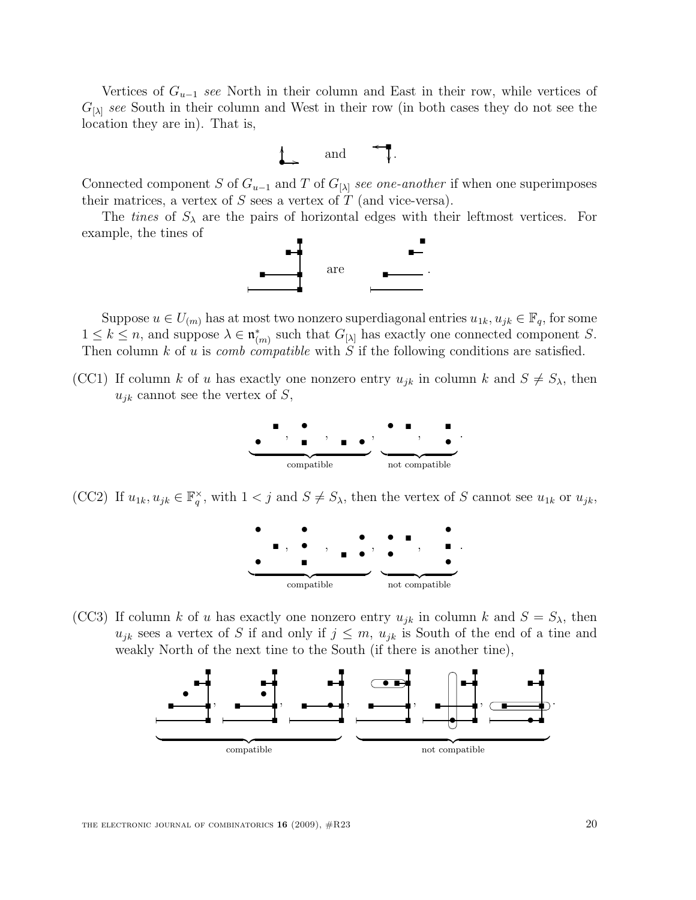Vertices of  $G_{u-1}$  see North in their column and East in their row, while vertices of  $G_{\lambda}$  see South in their column and West in their row (in both cases they do not see the location they are in). That is,



Connected component S of  $G_{u-1}$  and T of  $G_{\lambda}$  see one-another if when one superimposes their matrices, a vertex of  $S$  sees a vertex of  $T$  (and vice-versa).

The *tines* of  $S_\lambda$  are the pairs of horizontal edges with their leftmost vertices. For example, the tines of



Suppose  $u \in U_{(m)}$  has at most two nonzero superdiagonal entries  $u_{1k}, u_{jk} \in \mathbb{F}_q$ , for some  $1 \leq k \leq n$ , and suppose  $\lambda \in \mathfrak{n}_{(m)}^*$  such that  $G_{[\lambda]}$  has exactly one connected component S. Then column  $k$  of  $u$  is *comb compatible* with  $S$  if the following conditions are satisfied.

(CC1) If column k of u has exactly one nonzero entry  $u_{jk}$  in column k and  $S \neq S_{\lambda}$ , then  $u_{jk}$  cannot see the vertex of S,



(CC2) If  $u_{1k}, u_{jk} \in \mathbb{F}_q^{\times}$ , with  $1 < j$  and  $S \neq S_\lambda$ , then the vertex of S cannot see  $u_{1k}$  or  $u_{jk}$ ,



(CC3) If column k of u has exactly one nonzero entry  $u_{jk}$  in column k and  $S = S_{\lambda}$ , then  $u_{jk}$  sees a vertex of S if and only if  $j \leq m$ ,  $u_{jk}$  is South of the end of a tine and weakly North of the next tine to the South (if there is another tine),

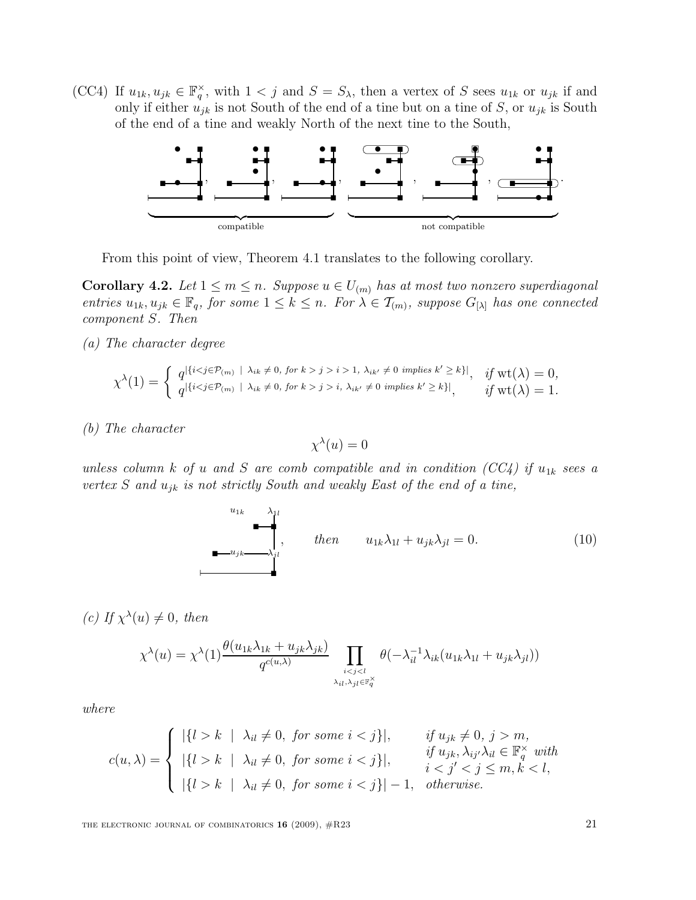(CC4) If  $u_{1k}, u_{jk} \in \mathbb{F}_q^{\times}$ , with  $1 < j$  and  $S = S_{\lambda}$ , then a vertex of S sees  $u_{1k}$  or  $u_{jk}$  if and only if either  $u_{jk}$  is not South of the end of a tine but on a tine of S, or  $u_{jk}$  is South of the end of a tine and weakly North of the next tine to the South,



From this point of view, Theorem 4.1 translates to the following corollary.

**Corollary 4.2.** Let  $1 \leq m \leq n$ . Suppose  $u \in U_{(m)}$  has at most two nonzero superdiagonal entries  $u_{1k}, u_{jk} \in \mathbb{F}_q$ , for some  $1 \leq k \leq n$ . For  $\lambda \in \mathcal{T}_{(m)}$ , suppose  $G_{[\lambda]}$  has one connected component S. Then

(a) The character degree

$$
\chi^{\lambda}(1) = \begin{cases} q^{|\{i < j \in \mathcal{P}_{(m)} \mid \lambda_{ik} \neq 0, \text{ for } k > j > i > 1, \lambda_{ik'} \neq 0 \text{ implies } k' \geq k\}|, & \text{if } \mathrm{wt}(\lambda) = 0, \\ q^{|\{i < j \in \mathcal{P}_{(m)} \mid \lambda_{ik} \neq 0, \text{ for } k > j > i, \lambda_{ik'} \neq 0 \text{ implies } k' \geq k\}|, & \text{if } \mathrm{wt}(\lambda) = 1. \end{cases}
$$

(b) The character

$$
\chi^{\lambda}(u) = 0
$$

unless column k of u and S are comb compatible and in condition (CC4) if  $u_{1k}$  sees a vertex S and  $u_{jk}$  is not strictly South and weakly East of the end of a tine,

$$
\begin{array}{ccc}\n\mathbf{u}_{1k} & \lambda_{1l} \\
\hline\n\mathbf{u}_{2k} & \lambda_{jl} \\
\mathbf{u}_{3k} & \lambda_{jl}\n\end{array}\n, \qquad \text{then} \qquad u_{1k}\lambda_{1l} + u_{jk}\lambda_{jl} = 0. \tag{10}
$$

(c) If  $\chi^{\lambda}(u) \neq 0$ , then

$$
\chi^{\lambda}(u) = \chi^{\lambda}(1) \frac{\theta(u_{1k}\lambda_{1k} + u_{jk}\lambda_{jk})}{q^{c(u,\lambda)}} \prod_{\substack{i < j < l \\ \lambda_{il}, \lambda_{jl} \in \mathbb{F}_q^{\times}}} \theta(-\lambda_{il}^{-1}\lambda_{ik}(u_{1k}\lambda_{1l} + u_{jk}\lambda_{jl}))
$$

where

$$
c(u,\lambda) = \begin{cases} |\{l > k \mid \lambda_{il} \neq 0, \text{ for some } i < j\}|, & \text{if } u_{jk} \neq 0, \text{ } j > m, \\ |\{l > k \mid \lambda_{il} \neq 0, \text{ for some } i < j\}|, & \text{if } u_{jk}, \lambda_{ij'}\lambda_{il} \in \mathbb{F}_q^\times \text{ with} \\ |\{l > k \mid \lambda_{il} \neq 0, \text{ for some } i < j\}| - 1, & \text{otherwise.} \end{cases}
$$

THE ELECTRONIC JOURNAL OF COMBINATORICS  $16$  (2009),  $\#R23$  21

 $\overline{1}$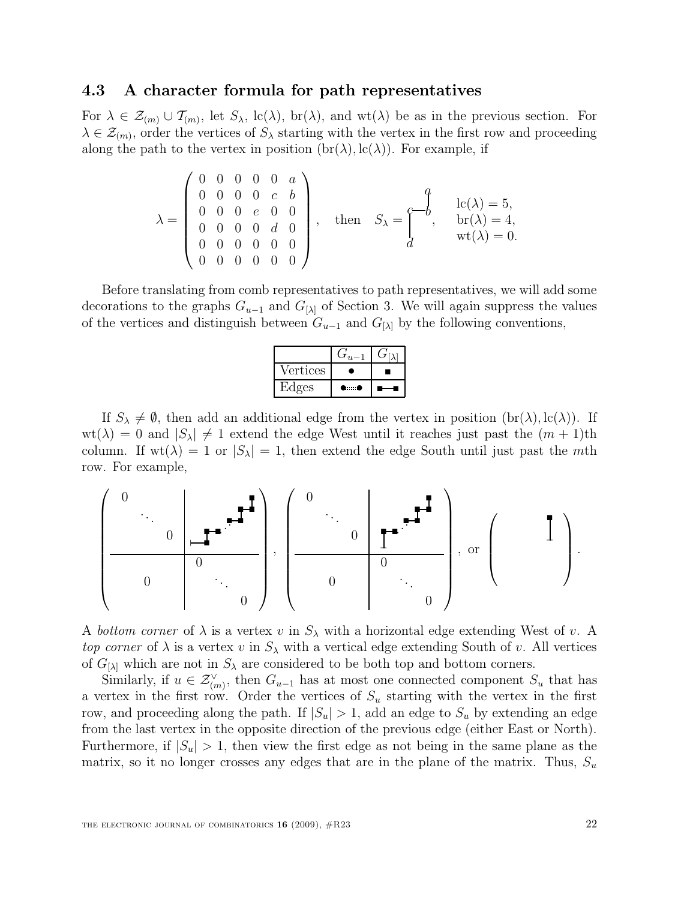#### 4.3 A character formula for path representatives

For  $\lambda \in \mathcal{Z}_{(m)} \cup \mathcal{T}_{(m)}$ , let  $S_{\lambda}$ , lc( $\lambda$ ), br( $\lambda$ ), and wt( $\lambda$ ) be as in the previous section. For  $\lambda \in \mathcal{Z}_{(m)}$ , order the vertices of  $S_{\lambda}$  starting with the vertex in the first row and proceeding along the path to the vertex in position  $(\text{br}(\lambda), \text{lc}(\lambda))$ . For example, if

$$
\lambda = \begin{pmatrix} 0 & 0 & 0 & 0 & 0 & a \\ 0 & 0 & 0 & 0 & c & b \\ 0 & 0 & 0 & e & 0 & 0 \\ 0 & 0 & 0 & 0 & d & 0 \\ 0 & 0 & 0 & 0 & 0 & 0 \\ 0 & 0 & 0 & 0 & 0 & 0 \end{pmatrix}, \text{ then } S_{\lambda} = \begin{pmatrix} a \\ -b \\ d \end{pmatrix}, \begin{array}{c} lc(\lambda) = 5, \\ br(\lambda) = 4, \\ wt(\lambda) = 0. \end{array}
$$

Before translating from comb representatives to path representatives, we will add some decorations to the graphs  $G_{u-1}$  and  $G_{\{\\\lambda\}}$  of Section 3. We will again suppress the values of the vertices and distinguish between  $G_{u-1}$  and  $G_{[\lambda]}$  by the following conventions,

| Vertices |      |  |
|----------|------|--|
| Edges    | mm C |  |

If  $S_\lambda \neq \emptyset$ , then add an additional edge from the vertex in position  $(\text{br}(\lambda), \text{lc}(\lambda))$ . If  $wt(\lambda) = 0$  and  $|S_{\lambda}| \neq 1$  extend the edge West until it reaches just past the  $(m + 1)$ th column. If  $wt(\lambda) = 1$  or  $|S_{\lambda}| = 1$ , then extend the edge South until just past the mth row. For example,



A bottom corner of  $\lambda$  is a vertex v in  $S_{\lambda}$  with a horizontal edge extending West of v. A top corner of  $\lambda$  is a vertex v in  $S_{\lambda}$  with a vertical edge extending South of v. All vertices of  $G_{[\lambda]}$  which are not in  $S_{\lambda}$  are considered to be both top and bottom corners.

Similarly, if  $u \in \mathcal{Z}_{(m)}^{\vee}$ , then  $G_{u-1}$  has at most one connected component  $S_u$  that has a vertex in the first row. Order the vertices of  $S_u$  starting with the vertex in the first row, and proceeding along the path. If  $|S_u| > 1$ , add an edge to  $S_u$  by extending an edge from the last vertex in the opposite direction of the previous edge (either East or North). Furthermore, if  $|S_u| > 1$ , then view the first edge as not being in the same plane as the matrix, so it no longer crosses any edges that are in the plane of the matrix. Thus,  $S_u$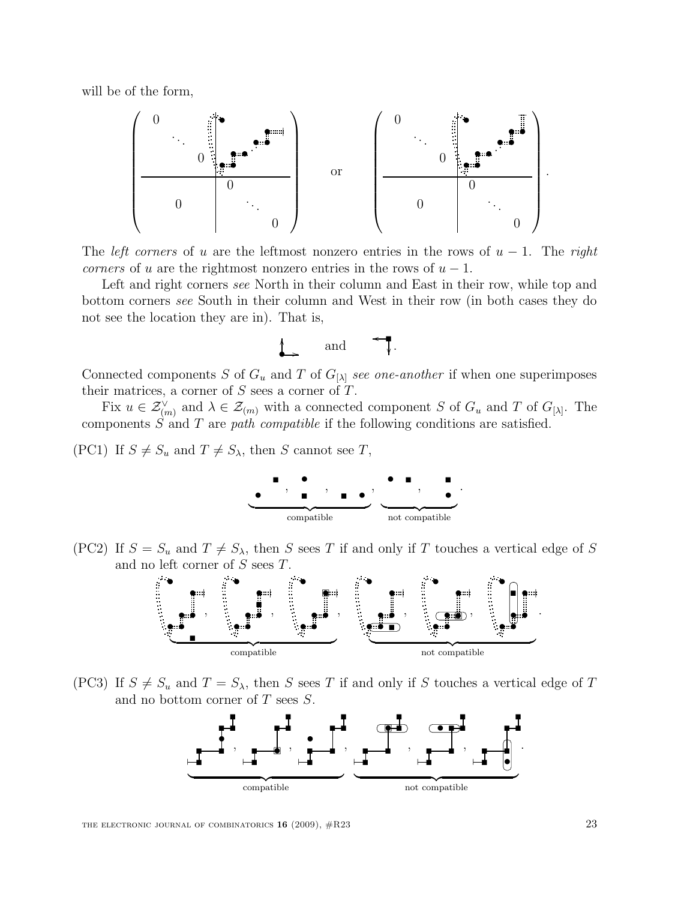will be of the form,



The *left corners* of u are the leftmost nonzero entries in the rows of  $u - 1$ . The right corners of u are the rightmost nonzero entries in the rows of  $u - 1$ .

Left and right corners see North in their column and East in their row, while top and bottom corners see South in their column and West in their row (in both cases they do not see the location they are in). That is,



Connected components S of  $G_u$  and T of  $G_{[\lambda]}$  see one-another if when one superimposes their matrices, a corner of  $S$  sees a corner of  $T$ .

Fix  $u \in \mathcal{Z}_{(m)}^{\vee}$  and  $\lambda \in \mathcal{Z}_{(m)}$  with a connected component S of  $G_u$  and T of  $G_{[\lambda]}$ . The components  $S$  and  $T$  are path compatible if the following conditions are satisfied.

(PC1) If  $S \neq S_u$  and  $T \neq S_\lambda$ , then S cannot see T,



(PC2) If  $S = S_u$  and  $T \neq S_\lambda$ , then S sees T if and only if T touches a vertical edge of S and no left corner of S sees T.



(PC3) If  $S \neq S_u$  and  $T = S_\lambda$ , then S sees T if and only if S touches a vertical edge of T and no bottom corner of  $T$  sees  $S$ .

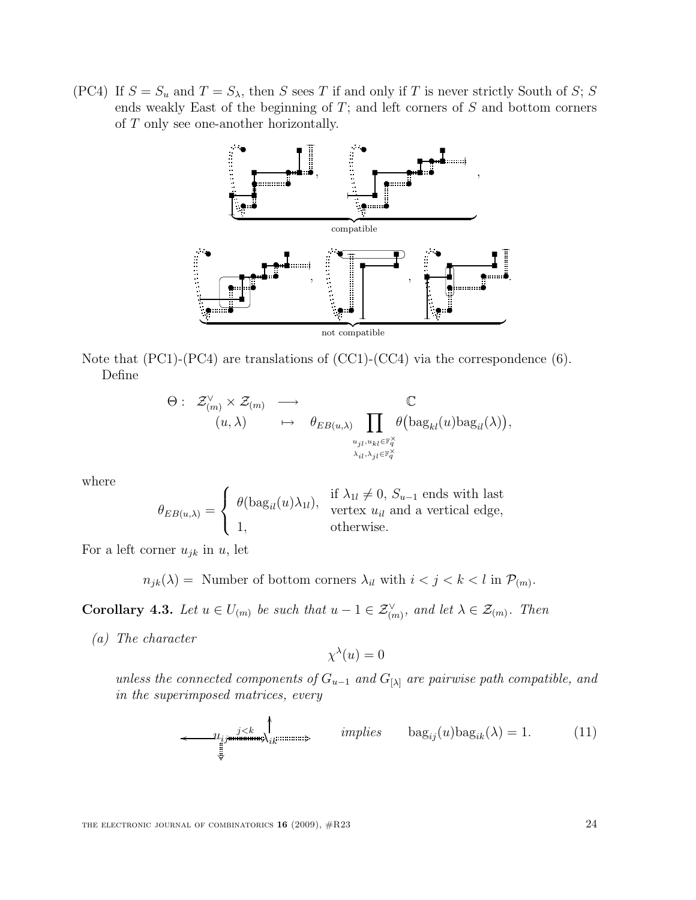(PC4) If  $S = S_u$  and  $T = S_\lambda$ , then S sees T if and only if T is never strictly South of S; S ends weakly East of the beginning of  $T$ ; and left corners of  $S$  and bottom corners of T only see one-another horizontally.



Note that (PC1)-(PC4) are translations of (CC1)-(CC4) via the correspondence (6). Define

$$
\Theta: \begin{array}{ccc}\n\mathcal{Z}_{(m)}^{\vee} \times \mathcal{Z}_{(m)} & \longrightarrow & \mathbb{C} \\
(u, \lambda) & \mapsto & \theta_{EB(u, \lambda)} \prod_{u_{jl}, u_{kl} \in \mathbb{F}_q^{\times} \\
\downarrow_{i,l}, \lambda_{jl} \in \mathbb{F}_q^{\times}\n\end{array} \quad \mathbb{Q} \left( \text{bag}_{kl}(u) \text{bag}_{il}(\lambda) \right),
$$

where

$$
\theta_{EB(u,\lambda)} = \begin{cases} \theta(\text{bag}_{il}(u)\lambda_{1l}), & \text{if } \lambda_{1l} \neq 0, S_{u-1} \text{ ends with last} \\ 1, & \text{vertex } u_{il} \text{ and a vertical edge,} \\ 1, & \text{otherwise.} \end{cases}
$$

For a left corner  $u_{jk}$  in u, let

 $n_{jk}(\lambda) =$  Number of bottom corners  $\lambda_{il}$  with  $i < j < k < l$  in  $\mathcal{P}_{(m)}$ .

**Corollary 4.3.** Let  $u \in U_{(m)}$  be such that  $u - 1 \in \mathcal{Z}_{(m)}^{\vee}$ , and let  $\lambda \in \mathcal{Z}_{(m)}$ . Then

(a) The character

$$
\chi^{\lambda}(u) = 0
$$

unless the connected components of  $G_{u-1}$  and  $G_{[\lambda]}$  are pairwise path compatible, and in the superimposed matrices, every

$$
\longleftrightarrow u_{ij} \downarrow_{ik} \downarrow_{ik} \downarrow_{ik} \downarrow_{ik} \downarrow_{ik} \downarrow_{ik} \downarrow_{ik} \downarrow_{ik} \downarrow_{ik} \downarrow_{ik} \downarrow_{ik} \downarrow_{ik} \downarrow_{ik} \downarrow_{ik} \downarrow_{ik} \downarrow_{ik} \downarrow_{ik} \downarrow_{ik} \downarrow_{ik} \downarrow_{ik} \downarrow_{ik} \downarrow_{ik} \downarrow_{ik} \downarrow_{ik} \downarrow_{ik} \downarrow_{ik} \downarrow_{ik} \downarrow_{ik} \downarrow_{ik} \downarrow_{ik} \downarrow_{ik} \downarrow_{ik} \downarrow_{ik} \downarrow_{ik} \downarrow_{ik} \downarrow_{ik} \downarrow_{ik} \downarrow_{ik} \downarrow_{ik} \downarrow_{ik} \downarrow_{ik} \downarrow_{ik} \downarrow_{ik} \downarrow_{ik} \downarrow_{ik} \downarrow_{ik} \downarrow_{ik} \downarrow_{ik} \downarrow_{ik} \downarrow_{ik} \downarrow_{ik} \downarrow_{ik} \downarrow_{ik} \downarrow_{ik} \downarrow_{ik} \downarrow_{ik} \downarrow_{ik} \downarrow_{ik} \downarrow_{ik} \downarrow_{ik} \downarrow_{ik} \downarrow_{ik} \downarrow_{ik} \downarrow_{ik} \downarrow_{ik} \downarrow_{ik} \downarrow_{ik} \downarrow_{ik} \downarrow_{ik} \downarrow_{ik} \downarrow_{ik} \downarrow_{ik} \downarrow_{ik} \downarrow_{ik} \downarrow_{ik} \downarrow_{ik} \downarrow_{ik} \downarrow_{ik} \downarrow_{ik} \downarrow_{ik} \downarrow_{ik} \downarrow_{ik} \downarrow_{ik} \downarrow_{ik} \downarrow_{ik} \downarrow_{ik} \downarrow_{ik} \downarrow_{ik} \downarrow_{ik} \downarrow_{ik} \downarrow_{ik} \downarrow_{ik} \downarrow_{ik} \downarrow_{ik} \downarrow_{ik} \downarrow_{ik} \downarrow_{ik} \downarrow_{ik} \downarrow_{ik} \downarrow_{ik} \downarrow_{ik} \downarrow_{ik} \downarrow_{ik} \downarrow_{ik} \downarrow_{ik} \downarrow_{ik} \downarrow_{ik} \downarrow_{ik} \downarrow_{ik} \downarrow_{ik} \downarrow_{ik} \downarrow_{ik} \downarrow_{ik} \downarrow_{ik} \downarrow_{ik} \downarrow_{ik} \downarrow_{ik} \downarrow_{ik} \downarrow_{ik} \downarrow_{ik} \downarrow_{ik} \downarrow_{ik} \downarrow_{ik} \downarrow_{ik} \downarrow_{ik} \downarrow_{
$$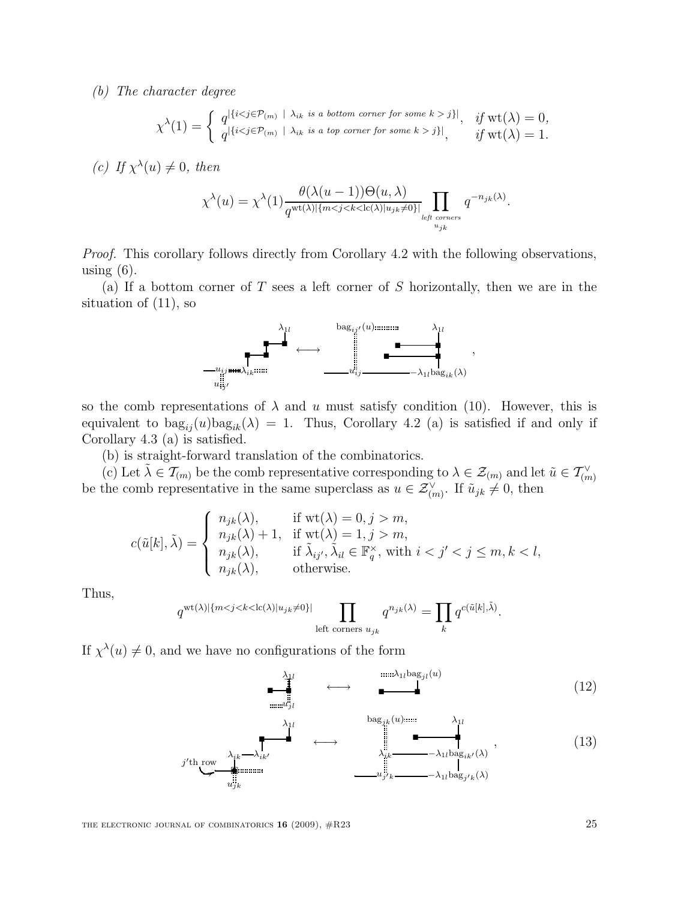(b) The character degree

$$
\chi^{\lambda}(1) = \begin{cases} q^{\left|\{i < j \in \mathcal{P}_{(m)} \mid \lambda_{ik} \text{ is a bottom corner for some } k > j\}\right|}, & \text{if } \mathrm{wt}(\lambda) = 0, \\ q^{\left|\{i < j \in \mathcal{P}_{(m)} \mid \lambda_{ik} \text{ is a top corner for some } k > j\}\right|}, & \text{if } \mathrm{wt}(\lambda) = 1. \end{cases}
$$

(c) If  $\chi^{\lambda}(u) \neq 0$ , then

$$
\chi^{\lambda}(u) = \chi^{\lambda}(1) \frac{\theta(\lambda(u-1))\Theta(u,\lambda)}{q^{\text{wt}(\lambda)|\{m < j < k < \text{lc}(\lambda)|u_{jk} \neq 0\}|}} \prod_{\substack{l \text{eff corners} \\ u_{jk}}} q^{-n_{jk}(\lambda)}.
$$

Proof. This corollary follows directly from Corollary 4.2 with the following observations, using  $(6)$ .

(a) If a bottom corner of T sees a left corner of S horizontally, then we are in the situation of (11), so



so the comb representations of  $\lambda$  and u must satisfy condition (10). However, this is equivalent to  $\text{bag}_{ii}(u)\text{bag}_{ik}(\lambda) = 1$ . Thus, Corollary 4.2 (a) is satisfied if and only if Corollary 4.3 (a) is satisfied.

(b) is straight-forward translation of the combinatorics.

(c) Let  $\tilde{\lambda} \in \mathcal{T}_{(m)}$  be the comb representative corresponding to  $\lambda \in \mathcal{Z}_{(m)}$  and let  $\tilde{u} \in \mathcal{T}_{(m)}^{\vee}$ be the comb representative in the same superclass as  $u \in \mathcal{Z}_{(m)}^{\vee}$ . If  $\tilde{u}_{jk} \neq 0$ , then

$$
c(\tilde{u}[k],\tilde{\lambda}) = \begin{cases} n_{jk}(\lambda), & \text{if wt}(\lambda) = 0, j > m, \\ n_{jk}(\lambda) + 1, & \text{if wt}(\lambda) = 1, j > m, \\ n_{jk}(\lambda), & \text{if } \tilde{\lambda}_{ij'}, \tilde{\lambda}_{il} \in \mathbb{F}_q^{\times}, \text{ with } i < j' < j \leq m, k < l, \\ n_{jk}(\lambda), & \text{otherwise.} \end{cases}
$$

Thus,

$$
q^{\text{wt}(\lambda)|\{m < j < k < \text{lc}(\lambda)|u_{jk} \neq 0\}|} \prod_{\text{left corners } u_{jk}} q^{n_{jk}(\lambda)} = \prod_k q^{c(\tilde{u}[k], \tilde{\lambda})}.
$$

If  $\chi^{\lambda}(u) \neq 0$ , and we have no configurations of the form

$$
\begin{array}{ccc}\n\lambda_{1l} & \cdots & \lambda_{1l} \text{bag}_{jl}(u) \\
\hline\n\vdots & \ddots & \vdots \\
\vdots & \ddots & \vdots \\
\vdots & \ddots & \vdots \\
\end{array}
$$
\n(12)

λ1<sup>l</sup> λik λik<sup>0</sup> · j 0 th row 6 • · ujk ←→ bagjk (u) λ1<sup>l</sup> λik −λ1lbagik<sup>0</sup> (λ) · uj <sup>0</sup><sup>k</sup> −λ1lbag<sup>j</sup> 0k (λ) , (13)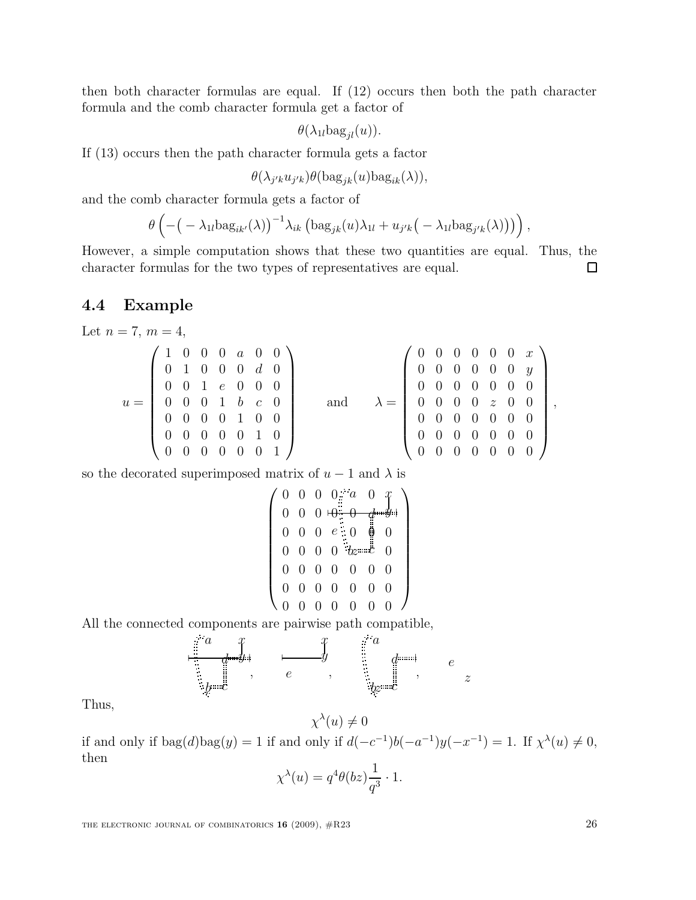then both character formulas are equal. If (12) occurs then both the path character formula and the comb character formula get a factor of

 $\theta(\lambda_{1l} \text{bag}_{jl}(u)).$ 

If (13) occurs then the path character formula gets a factor

$$
\theta(\lambda_{j'k}u_{j'k})\theta(\mathrm{bag}_{jk}(u)\mathrm{bag}_{ik}(\lambda)),
$$

and the comb character formula gets a factor of

$$
\theta\left(-\big(-\lambda_{1l}{\rm bag}_{ik'}(\lambda)\big)^{-1}\lambda_{ik}\left({\rm bag}_{jk}(u)\lambda_{1l}+u_{j'k}\big(-\lambda_{1l}{\rm bag}_{j'k}(\lambda)\big)\right)\right),\,
$$

However, a simple computation shows that these two quantities are equal. Thus, the character formulas for the two types of representatives are equal. 口

#### 4.4 Example

Let  $n = 7, m = 4,$ 

$$
u = \left(\begin{array}{cccccc} 1 & 0 & 0 & 0 & a & 0 & 0 \\ 0 & 1 & 0 & 0 & 0 & d & 0 \\ 0 & 0 & 1 & e & 0 & 0 & 0 \\ 0 & 0 & 0 & 1 & b & c & 0 \\ 0 & 0 & 0 & 0 & 1 & 0 & 0 \\ 0 & 0 & 0 & 0 & 0 & 1 & 0 \\ 0 & 0 & 0 & 0 & 0 & 0 & 1 \end{array}\right) \qquad \text{and} \qquad \lambda = \left(\begin{array}{cccccc} 0 & 0 & 0 & 0 & 0 & x \\ 0 & 0 & 0 & 0 & 0 & 0 & y \\ 0 & 0 & 0 & 0 & 0 & 0 & 0 \\ 0 & 0 & 0 & 0 & 0 & 0 & 0 \\ 0 & 0 & 0 & 0 & 0 & 0 & 0 \\ 0 & 0 & 0 & 0 & 0 & 0 & 0 \\ 0 & 0 & 0 & 0 & 0 & 0 & 0 \end{array}\right),
$$

so the decorated superimposed matrix of  $u - 1$  and  $\lambda$  is

$$
\left(\n\begin{array}{ccccccc}\n0 & 0 & 0 & 0 & a & 0 & x \\
0 & 0 & 0 & 0 & 0 & a & b \\
0 & 0 & 0 & e & 0 & 0 & 0 \\
0 & 0 & 0 & 0 & b & 0 & 0 \\
0 & 0 & 0 & 0 & 0 & 0 & 0 \\
0 & 0 & 0 & 0 & 0 & 0 & 0 \\
0 & 0 & 0 & 0 & 0 & 0 & 0\n\end{array}\n\right)
$$

All the connected components are pairwise path compatible,



Thus,

if and only if  $\text{bag}(d)\text{bag}(y) = 1$  if and only if  $d(-c^{-1})b(-a^{-1})y(-x^{-1}) = 1$ . If  $\chi^{\lambda}(u) \neq 0$ , then

 $\chi^{\lambda}(u) \neq 0$ 

$$
\chi^{\lambda}(u) = q^4 \theta(bz) \frac{1}{q^3} \cdot 1.
$$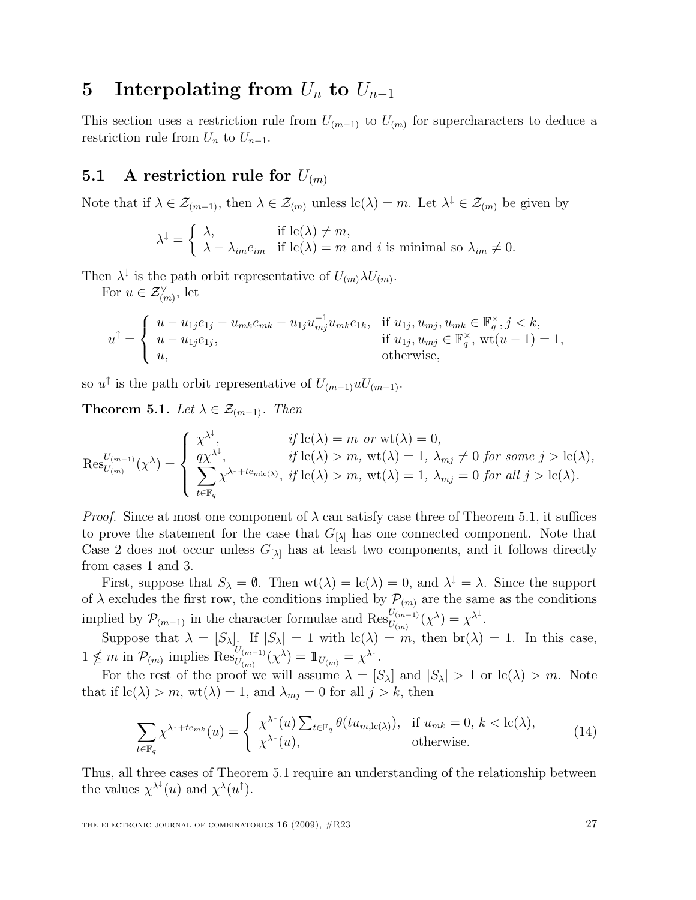### 5 Interpolating from  $U_n$  to  $U_{n-1}$

This section uses a restriction rule from  $U_{(m-1)}$  to  $U_{(m)}$  for supercharacters to deduce a restriction rule from  $U_n$  to  $U_{n-1}$ .

### 5.1 A restriction rule for  $U_{(m)}$

Note that if  $\lambda \in \mathcal{Z}_{(m-1)}$ , then  $\lambda \in \mathcal{Z}_{(m)}$  unless  $\mathrm{lc}(\lambda) = m$ . Let  $\lambda^{\downarrow} \in \mathcal{Z}_{(m)}$  be given by

$$
\lambda^{\downarrow} = \begin{cases} \lambda, & \text{if } \operatorname{lc}(\lambda) \neq m, \\ \lambda - \lambda_{im} e_{im} & \text{if } \operatorname{lc}(\lambda) = m \text{ and } i \text{ is minimal so } \lambda_{im} \neq 0. \end{cases}
$$

Then  $\lambda^{\downarrow}$  is the path orbit representative of  $U_{(m)}\lambda U_{(m)}$ .

For  $u \in \mathcal{Z}_{(m)}^{\vee}$ , let

$$
u^{\uparrow} = \begin{cases} u - u_{1j}e_{1j} - u_{mk}e_{mk} - u_{1j}u_{mj}^{-1}u_{mk}e_{1k}, & \text{if } u_{1j}, u_{mj}, u_{mk} \in \mathbb{F}_q^{\times}, j < k, \\ u - u_{1j}e_{1j}, & \text{if } u_{1j}, u_{mj} \in \mathbb{F}_q^{\times}, \text{wt}(u - 1) = 1, \\ u, & \text{otherwise}, \end{cases}
$$

so  $u^{\dagger}$  is the path orbit representative of  $U_{(m-1)}uU_{(m-1)}$ .

**Theorem 5.1.** Let  $\lambda \in \mathcal{Z}_{(m-1)}$ . Then

$$
\operatorname{Res}_{U_{(m)}}^{U_{(m-1)}}(\chi^{\lambda}) = \begin{cases} \chi^{\lambda^{\downarrow}}, & \text{if } \operatorname{lc}(\lambda) = m \text{ or } \operatorname{wt}(\lambda) = 0, \\ q\chi^{\lambda^{\downarrow}}, & \text{if } \operatorname{lc}(\lambda) > m, \operatorname{wt}(\lambda) = 1, \lambda_{mj} \neq 0 \text{ for some } j > \operatorname{lc}(\lambda), \\ \sum_{t \in \mathbb{F}_q} \chi^{\lambda^{\downarrow} + te_{m\mathrm{lc}(\lambda)}}, & \text{if } \operatorname{lc}(\lambda) > m, \operatorname{wt}(\lambda) = 1, \lambda_{mj} = 0 \text{ for all } j > \operatorname{lc}(\lambda). \end{cases}
$$

*Proof.* Since at most one component of  $\lambda$  can satisfy case three of Theorem 5.1, it suffices to prove the statement for the case that  $G_{[\lambda]}$  has one connected component. Note that Case 2 does not occur unless  $G_{[\lambda]}$  has at least two components, and it follows directly from cases 1 and 3.

First, suppose that  $S_\lambda = \emptyset$ . Then  $\text{wt}(\lambda) = \text{lc}(\lambda) = 0$ , and  $\lambda^{\downarrow} = \lambda$ . Since the support of  $\lambda$  excludes the first row, the conditions implied by  $\mathcal{P}_{(m)}$  are the same as the conditions implied by  $\mathcal{P}_{(m-1)}$  in the character formulae and  $\operatorname{Res}_{U_{(m)}}^{U_{(m-1)}}(\chi^{\lambda}) = \chi^{\lambda^{\downarrow}}$ .

Suppose that  $\lambda = [S_{\lambda}]$ . If  $|S_{\lambda}| = 1$  with  $\text{lc}(\lambda) = m$ , then  $\text{br}(\lambda) = 1$ . In this case,  $1 \nleq m$  in  $\mathcal{P}_{(m)}$  implies  $\operatorname{Res}_{U_{(m)}}^{U_{(m-1)}}(\chi^{\lambda}) = 1\!\!1_{U_{(m)}} = \chi^{\lambda^{\downarrow}}.$ 

For the rest of the proof we will assume  $\lambda = [S_{\lambda}]$  and  $|S_{\lambda}| > 1$  or  $\text{lc}(\lambda) > m$ . Note that if  $\text{lc}(\lambda) > m$ ,  $\text{wt}(\lambda) = 1$ , and  $\lambda_{mj} = 0$  for all  $j > k$ , then

$$
\sum_{t \in \mathbb{F}_q} \chi^{\lambda^1 + te_{mk}}(u) = \begin{cases} \chi^{\lambda^1}(u) \sum_{t \in \mathbb{F}_q} \theta(tu_{m,\text{lc}(\lambda)}), & \text{if } u_{mk} = 0, \ k < \text{lc}(\lambda), \\ \chi^{\lambda^1}(u), & \text{otherwise.} \end{cases} \tag{14}
$$

Thus, all three cases of Theorem 5.1 require an understanding of the relationship between the values  $\chi^{\lambda^{\downarrow}}(u)$  and  $\chi^{\lambda}(u^{\uparrow})$ .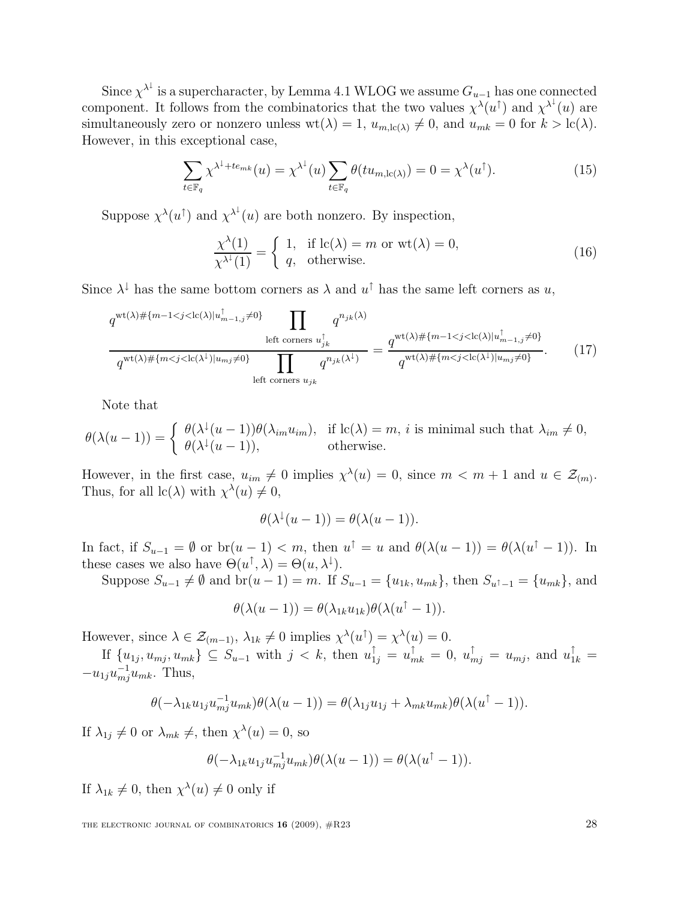Since  $\chi^{\lambda^{\downarrow}}$  is a supercharacter, by Lemma 4.1 WLOG we assume  $G_{u-1}$  has one connected component. It follows from the combinatorics that the two values  $\chi^{\lambda}(u^{\dagger})$  and  $\chi^{\lambda^{\dagger}}(u)$  are simultaneously zero or nonzero unless  $wt(\lambda) = 1$ ,  $u_{m,\text{lc}(\lambda)} \neq 0$ , and  $u_{mk} = 0$  for  $k > \text{lc}(\lambda)$ . However, in this exceptional case,

$$
\sum_{t \in \mathbb{F}_q} \chi^{\lambda^{\downarrow} + te_{mk}}(u) = \chi^{\lambda^{\downarrow}}(u) \sum_{t \in \mathbb{F}_q} \theta(tu_{m,lc(\lambda)}) = 0 = \chi^{\lambda}(u^{\uparrow}). \tag{15}
$$

Suppose  $\chi^{\lambda}(u^{\dagger})$  and  $\chi^{\lambda^{\downarrow}}(u)$  are both nonzero. By inspection,

$$
\frac{\chi^{\lambda}(1)}{\chi^{\lambda^1}(1)} = \begin{cases} 1, & \text{if } \text{lc}(\lambda) = m \text{ or } \text{wt}(\lambda) = 0, \\ q, & \text{otherwise.} \end{cases}
$$
\n(16)

Since  $\lambda^{\downarrow}$  has the same bottom corners as  $\lambda$  and  $u^{\uparrow}$  has the same left corners as  $u$ ,

$$
q^{\text{wt}(\lambda)\# \{m-1 < j < \text{lc}(\lambda)|u_{m-1,j}^{\dagger}\neq 0\}} \prod_{\text{left corners } u_{jk}^{\dagger} \atop q^{\text{wt}(\lambda)\# \{m < j < \text{lc}(\lambda)|u_{m-1,j}^{\dagger}\neq 0\}} \prod_{\text{left corners } u_{jk}^{\dagger} \atop q^{\text{wt}(\lambda)\# \{m < j < \text{lc}(\lambda)\}|u_{mj}^{\dagger}\neq 0\}} = \frac{q^{\text{wt}(\lambda)\# \{m-1 < j < \text{lc}(\lambda)|u_{m-1,j}^{\dagger}\neq 0\}}}{q^{\text{wt}(\lambda)\# \{m < j < \text{lc}(\lambda^{\dagger})|u_{mj}^{\dagger}\neq 0\}}}.
$$
\n(17)

Note that

$$
\theta(\lambda(u-1)) = \begin{cases} \theta(\lambda^{\downarrow}(u-1))\theta(\lambda_{im}u_{im}), & \text{if } \text{lc}(\lambda) = m, \, i \text{ is minimal such that } \lambda_{im} \neq 0, \\ \theta(\lambda^{\downarrow}(u-1)), & \text{otherwise.} \end{cases}
$$

However, in the first case,  $u_{im} \neq 0$  implies  $\chi^{\lambda}(u) = 0$ , since  $m < m + 1$  and  $u \in \mathcal{Z}_{(m)}$ . Thus, for all  $\text{lc}(\lambda)$  with  $\chi^{\lambda}(u) \neq 0$ ,

$$
\theta(\lambda^{\downarrow}(u-1)) = \theta(\lambda(u-1)).
$$

In fact, if  $S_{u-1} = \emptyset$  or  $br(u-1) < m$ , then  $u^{\uparrow} = u$  and  $\theta(\lambda(u-1)) = \theta(\lambda(u^{\uparrow} - 1))$ . In these cases we also have  $\Theta(u^{\dagger}, \lambda) = \Theta(u, \lambda^{\downarrow}).$ 

Suppose  $S_{u-1} \neq \emptyset$  and  $br(u - 1) = m$ . If  $S_{u-1} = \{u_{1k}, u_{mk}\}$ , then  $S_{u^{\uparrow}-1} = \{u_{mk}\}$ , and

$$
\theta(\lambda(u-1)) = \theta(\lambda_{1k}u_{1k})\theta(\lambda(u^{\uparrow}-1)).
$$

However, since  $\lambda \in \mathcal{Z}_{(m-1)}, \lambda_{1k} \neq 0$  implies  $\chi^{\lambda}(u^{\uparrow}) = \chi^{\lambda}(u) = 0$ .

If  $\{u_{1j}, u_{mj}, u_{mk}\}\subseteq S_{u-1}$  with  $j < k$ , then  $u_{1j}^{\uparrow} = u_{mk}^{\uparrow} = 0$ ,  $u_{mj}^{\uparrow} = u_{mj}$ , and  $u_{1k}^{\uparrow} =$  $-u_{1j}u_{mj}^{-1}u_{mk}$ . Thus,

$$
\theta(-\lambda_{1k}u_{1j}u_{mj}^{-1}u_{mk})\theta(\lambda(u-1)) = \theta(\lambda_{1j}u_{1j} + \lambda_{mk}u_{mk})\theta(\lambda(u^{\uparrow}-1)).
$$

If  $\lambda_{1j} \neq 0$  or  $\lambda_{mk} \neq 0$ , then  $\chi^{\lambda}(u) = 0$ , so

$$
\theta(-\lambda_{1k}u_{1j}u_{mj}^{-1}u_{mk})\theta(\lambda(u-1))=\theta(\lambda(u^{\uparrow}-1)).
$$

If  $\lambda_{1k} \neq 0$ , then  $\chi^{\lambda}(u) \neq 0$  only if

THE ELECTRONIC JOURNAL OF COMBINATORICS  $16$  (2009),  $\#R23$  28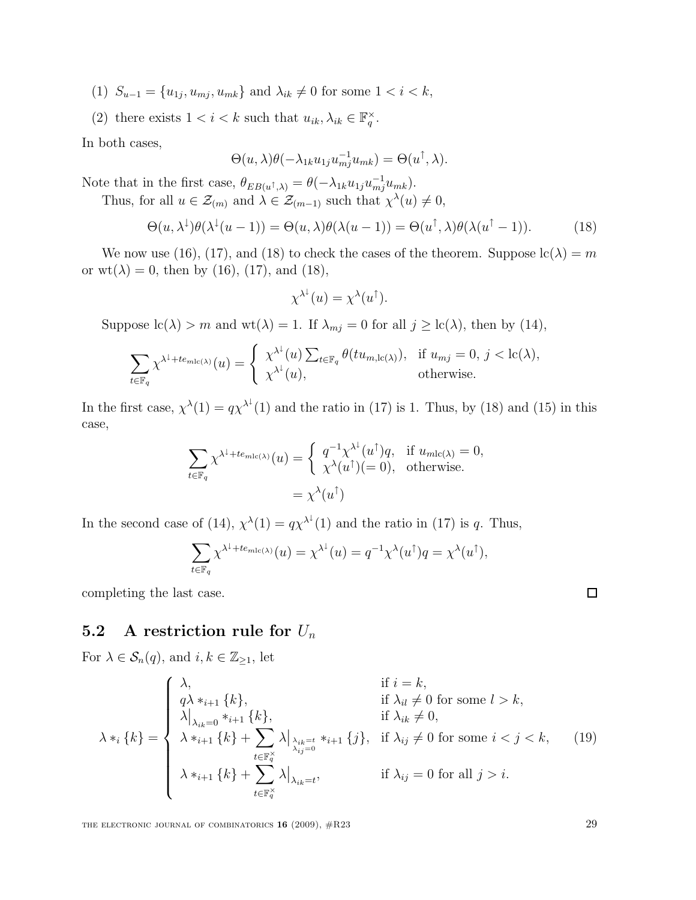- (1)  $S_{u-1} = \{u_{1j}, u_{mj}, u_{mk}\}\$ and  $\lambda_{ik} \neq 0$  for some  $1 < i < k$ ,
- (2) there exists  $1 < i < k$  such that  $u_{ik}, \lambda_{ik} \in \mathbb{F}_q^{\times}$ .

In both cases,

$$
\Theta(u,\lambda)\theta(-\lambda_{1k}u_{1j}u_{mj}^{-1}u_{mk})=\Theta(u^{\uparrow},\lambda).
$$

Note that in the first case,  $\theta_{EB(u^{\dagger},\lambda)} = \theta(-\lambda_{1k}u_{1j}u_{mj}^{-1}u_{mk}).$ 

Thus, for all  $u \in \mathcal{Z}_{(m)}$  and  $\lambda \in \mathcal{Z}_{(m-1)}$  such that  $\chi^{\lambda}(u) \neq 0$ ,

$$
\Theta(u, \lambda^{\downarrow})\theta(\lambda^{\downarrow}(u-1)) = \Theta(u, \lambda)\theta(\lambda(u-1)) = \Theta(u^{\uparrow}, \lambda)\theta(\lambda(u^{\uparrow}-1)).
$$
\n(18)

We now use (16), (17), and (18) to check the cases of the theorem. Suppose  $\text{lc}(\lambda) = m$ or  $wt(\lambda) = 0$ , then by (16), (17), and (18),

$$
\chi^{\lambda^{\downarrow}}(u) = \chi^{\lambda}(u^{\uparrow}).
$$

Suppose  $\text{lc}(\lambda) > m$  and  $\text{wt}(\lambda) = 1$ . If  $\lambda_{mj} = 0$  for all  $j \geq \text{lc}(\lambda)$ , then by (14),

$$
\sum_{t \in \mathbb{F}_q} \chi^{\lambda^{\downarrow} + te_{mlc(\lambda)}}(u) = \begin{cases} \chi^{\lambda^{\downarrow}}(u) \sum_{t \in \mathbb{F}_q} \theta(tu_{m,lc(\lambda)}), & \text{if } u_{mj} = 0, j < lc(\lambda), \\ \chi^{\lambda^{\downarrow}}(u), & \text{otherwise.} \end{cases}
$$

In the first case,  $\chi^{\lambda}(1) = q\chi^{\lambda^{\downarrow}}(1)$  and the ratio in (17) is 1. Thus, by (18) and (15) in this case,

$$
\sum_{t \in \mathbb{F}_q} \chi^{\lambda^{\downarrow} + te_{m!c(\lambda)}}(u) = \begin{cases} q^{-1} \chi^{\lambda^{\downarrow}}(u^{\uparrow})q, & \text{if } u_{m!c(\lambda)} = 0, \\ \chi^{\lambda}(u^{\uparrow}) (= 0), & \text{otherwise.} \end{cases}
$$

$$
= \chi^{\lambda}(u^{\uparrow})
$$

In the second case of (14),  $\chi^{\lambda}(1) = q\chi^{\lambda^{\downarrow}}(1)$  and the ratio in (17) is q. Thus,

$$
\sum_{t \in \mathbb{F}_q} \chi^{\lambda^{\downarrow} + te_{m!c(\lambda)}}(u) = \chi^{\lambda^{\downarrow}}(u) = q^{-1} \chi^{\lambda}(u^{\uparrow}) q = \chi^{\lambda}(u^{\uparrow}),
$$

completing the last case.

### 5.2 A restriction rule for  $U_n$

For  $\lambda \in \mathcal{S}_n(q)$ , and  $i, k \in \mathbb{Z}_{\geq 1}$ , let

$$
\lambda *_{i} \{k\} = \begin{cases}\n\lambda, & \text{if } i = k, \\
q\lambda *_{i+1} \{k\}, & \text{if } \lambda_{il} \neq 0 \text{ for some } l > k, \\
\lambda|_{\lambda_{ik} = 0} *_{i+1} \{k\}, & \text{if } \lambda_{ik} \neq 0, \\
\lambda *_{i+1} \{k\} + \sum_{t \in \mathbb{F}_{q}^{\times}} \lambda|_{\lambda_{ik} = t} *_{i+1} \{j\}, & \text{if } \lambda_{ij} \neq 0 \text{ for some } i < j < k, \\
\lambda *_{i+1} \{k\} + \sum_{t \in \mathbb{F}_{q}^{\times}} \lambda|_{\lambda_{ik} = t}, & \text{if } \lambda_{ij} = 0 \text{ for all } j > i.\n\end{cases}
$$
\n(19)

THE ELECTRONIC JOURNAL OF COMBINATORICS  $16$  (2009),  $\#R23$  29

 $\Box$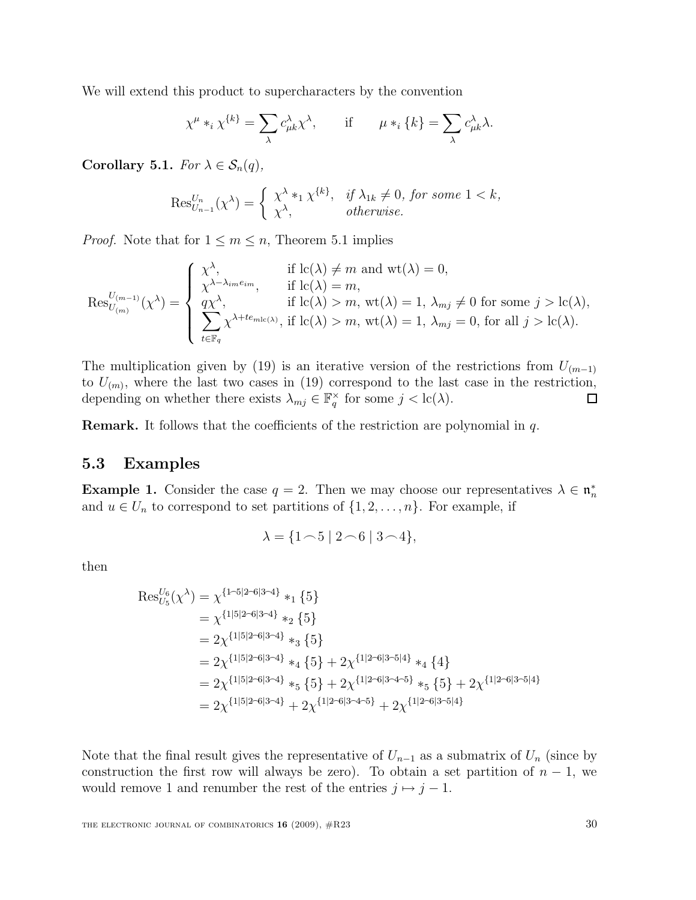We will extend this product to supercharacters by the convention

$$
\chi^{\mu} *_{i} \chi^{\{k\}} = \sum_{\lambda} c_{\mu k}^{\lambda} \chi^{\lambda}, \quad \text{if} \quad \mu *_{i} \{k\} = \sum_{\lambda} c_{\mu k}^{\lambda} \lambda.
$$

Corollary 5.1. For  $\lambda \in \mathcal{S}_n(q)$ ,

$$
\operatorname{Res}_{U_{n-1}}^{U_n}(\chi^{\lambda}) = \begin{cases} \chi^{\lambda} *_{1} \chi^{\{k\}}, & \text{if } \lambda_{1k} \neq 0, \text{ for some } 1 < k, \\ \chi^{\lambda}, & \text{otherwise.} \end{cases}
$$

*Proof.* Note that for  $1 \leq m \leq n$ , Theorem 5.1 implies

$$
\operatorname{Res}_{U_{(m)}}^{U_{(m-1)}}(\chi^{\lambda}) = \begin{cases} \chi^{\lambda}, & \text{if } \operatorname{lc}(\lambda) \neq m \text{ and } \operatorname{wt}(\lambda) = 0, \\ \chi^{\lambda - \lambda_{im}e_{im}}, & \text{if } \operatorname{lc}(\lambda) = m, \\ q\chi^{\lambda}, & \text{if } \operatorname{lc}(\lambda) > m, \operatorname{wt}(\lambda) = 1, \lambda_{mj} \neq 0 \text{ for some } j > \operatorname{lc}(\lambda), \\ \sum_{t \in \mathbb{F}_q} \chi^{\lambda + te_{m\mathrm{lc}(\lambda)}}, & \text{if } \operatorname{lc}(\lambda) > m, \operatorname{wt}(\lambda) = 1, \lambda_{mj} = 0, \text{ for all } j > \operatorname{lc}(\lambda). \end{cases}
$$

The multiplication given by (19) is an iterative version of the restrictions from  $U_{(m-1)}$ to  $U_{(m)}$ , where the last two cases in (19) correspond to the last case in the restriction, depending on whether there exists  $\lambda_{mj} \in \mathbb{F}_q^{\times}$  for some  $j < \text{lc}(\lambda)$ .  $\Box$ 

Remark. It follows that the coefficients of the restriction are polynomial in q.

#### 5.3 Examples

**Example 1.** Consider the case  $q = 2$ . Then we may choose our representatives  $\lambda \in \mathfrak{n}_n^*$ and  $u \in U_n$  to correspond to set partitions of  $\{1, 2, \ldots, n\}$ . For example, if

$$
\lambda = \{1 \cap 5 \mid 2 \cap 6 \mid 3 \cap 4\},\
$$

then

$$
Res_{U_5}^{U_6}(\chi^{\lambda}) = \chi^{\{1-5|2-6|3-4\}} *_{1} \{5\}
$$
  
=  $\chi^{\{1|5|2-6|3-4\}} *_{2} \{5\}$   
=  $2\chi^{\{1|5|2-6|3-4\}} *_{3} \{5\}$   
=  $2\chi^{\{1|5|2-6|3-4\}} *_{4} \{5\} + 2\chi^{\{1|2-6|3-5|4\}} *_{4} \{4\}$   
=  $2\chi^{\{1|5|2-6|3-4\}} *_{5} \{5\} + 2\chi^{\{1|2-6|3-4-5\}} *_{5} \{5\} + 2\chi^{\{1|2-6|3-5|4\}}$   
=  $2\chi^{\{1|5|2-6|3-4\}} + 2\chi^{\{1|2-6|3-4-5\}} + 2\chi^{\{1|2-6|3-5|4\}}$ 

Note that the final result gives the representative of  $U_{n-1}$  as a submatrix of  $U_n$  (since by construction the first row will always be zero). To obtain a set partition of  $n-1$ , we would remove 1 and renumber the rest of the entries  $j \mapsto j - 1$ .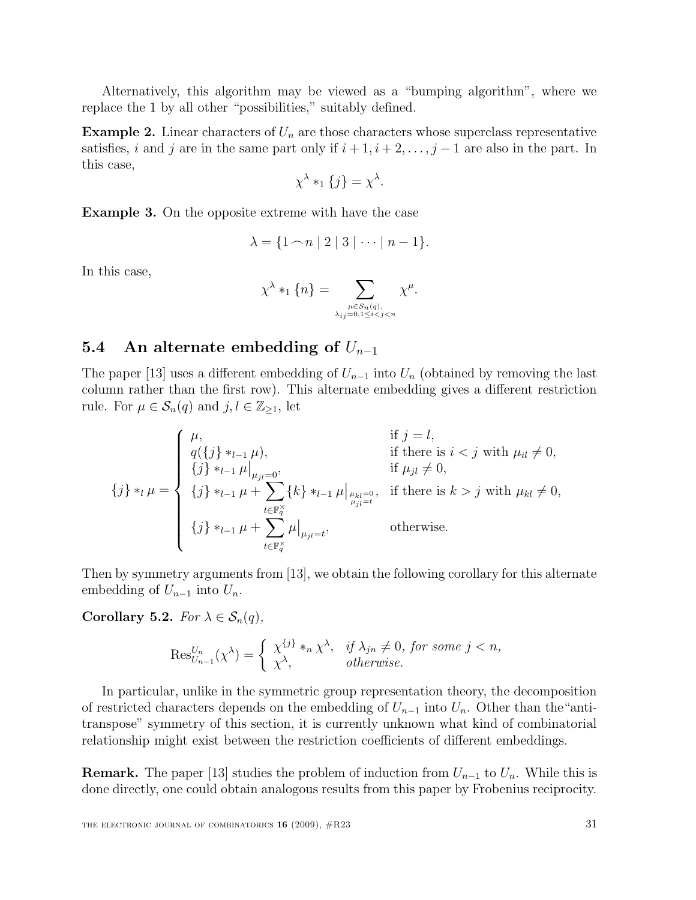Alternatively, this algorithm may be viewed as a "bumping algorithm", where we replace the 1 by all other "possibilities," suitably defined.

**Example 2.** Linear characters of  $U_n$  are those characters whose superclass representative satisfies, i and j are in the same part only if  $i + 1, i + 2, \ldots, j - 1$  are also in the part. In this case,

$$
\chi^{\lambda} *_{1} \{j\} = \chi^{\lambda}.
$$

Example 3. On the opposite extreme with have the case

$$
\lambda = \{1 \cap n \mid 2 \mid 3 \mid \dots \mid n-1\}.
$$

In this case,

$$
\chi^{\lambda} *_{1} \{n\} = \sum_{\substack{\mu \in S_{n}(q), \\ \lambda_{ij} = 0, 1 \leq i < j < n}} \chi^{\mu}.
$$

### 5.4 An alternate embedding of  $U_{n-1}$

The paper [13] uses a different embedding of  $U_{n-1}$  into  $U_n$  (obtained by removing the last column rather than the first row). This alternate embedding gives a different restriction rule. For  $\mu \in \mathcal{S}_n(q)$  and  $j, l \in \mathbb{Z}_{\geq 1}$ , let

$$
\{j\} *_{l} \mu = \begin{cases} \mu, & \text{if } j = l, \\ q(\{j\} *_{l-1} \mu), & \text{if there is } i < j \text{ with } \mu_{il} \neq 0, \\ \{j\} *_{l-1} \mu \Big|_{\mu_{jl} = 0}, & \text{if } \mu_{jl} \neq 0, \\ \{j\} *_{l-1} \mu + \sum_{t \in \mathbb{F}_q^\times} \{k\} *_{l-1} \mu \Big|_{\mu_{kl} = 0, \atop \mu_{jl} = t}, & \text{if there is } k > j \text{ with } \mu_{kl} \neq 0, \\ \{j\} *_{l-1} \mu + \sum_{t \in \mathbb{F}_q^\times} \mu \Big|_{\mu_{jl} = t}, & \text{otherwise.} \end{cases}
$$

Then by symmetry arguments from [13], we obtain the following corollary for this alternate embedding of  $U_{n-1}$  into  $U_n$ .

Corollary 5.2. For  $\lambda \in \mathcal{S}_n(q)$ ,

$$
\operatorname{Res}_{U_{n-1}}^{U_n}(\chi^{\lambda}) = \begin{cases} \chi^{\{j\}} *_{n} \chi^{\lambda}, & \text{if } \lambda_{jn} \neq 0, \text{ for some } j < n, \\ \chi^{\lambda}, & \text{otherwise.} \end{cases}
$$

In particular, unlike in the symmetric group representation theory, the decomposition of restricted characters depends on the embedding of  $U_{n-1}$  into  $U_n$ . Other than the "antitranspose" symmetry of this section, it is currently unknown what kind of combinatorial relationship might exist between the restriction coefficients of different embeddings.

**Remark.** The paper [13] studies the problem of induction from  $U_{n-1}$  to  $U_n$ . While this is done directly, one could obtain analogous results from this paper by Frobenius reciprocity.